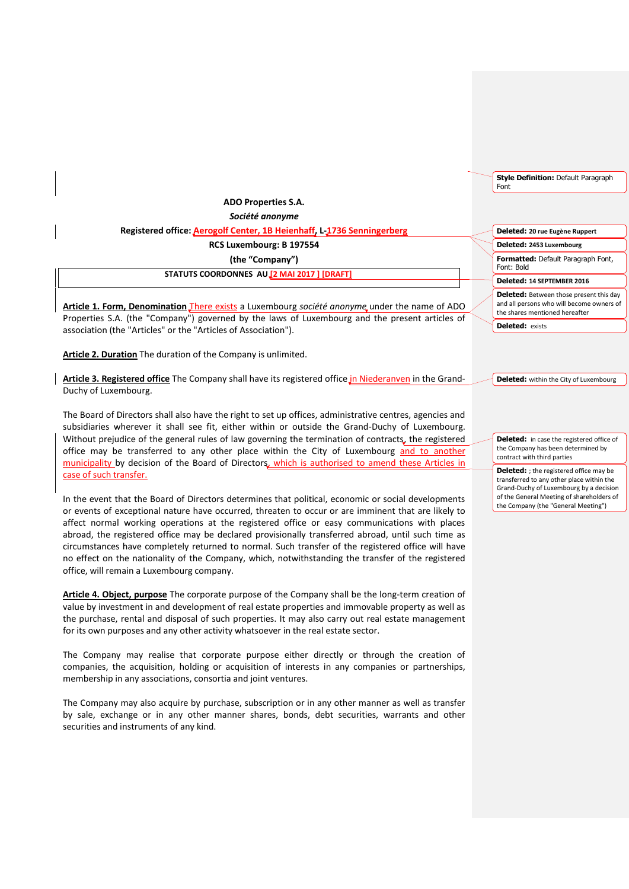| <b>ADO Properties S.A.</b>                                             |
|------------------------------------------------------------------------|
| Société anonyme                                                        |
| Registered office: Aerogolf Center, 1B Heienhaff, L-1736 Senningerberg |
| RCS Luxembourg: B 197554                                               |
| (the "Company")                                                        |
| STATUTS COORDONNES AUJ2 MAI 2017 ] [DRAFT]                             |

**Article 1. Form, Denomination** There exists a Luxembourg *société anonyme* under the name of ADO Properties S.A. (the "Company") governed by the laws of Luxembourg and the present articles of association (the "Articles" or the "Articles of Association").

**Article 2. Duration** The duration of the Company is unlimited.

**Article 3. Registered office** The Company shall have its registered office in Niederanven in the Grand-Duchy of Luxembourg.

The Board of Directors shall also have the right to set up offices, administrative centres, agencies and subsidiaries wherever it shall see fit, either within or outside the Grand-Duchy of Luxembourg. Without prejudice of the general rules of law governing the termination of contracts, the registered office may be transferred to any other place within the City of Luxembourg and to another municipality by decision of the Board of Directors, which is authorised to amend these Articles in case of such transfer.

In the event that the Board of Directors determines that political, economic or social developments or events of exceptional nature have occurred, threaten to occur or are imminent that are likely to affect normal working operations at the registered office or easy communications with places abroad, the registered office may be declared provisionally transferred abroad, until such time as circumstances have completely returned to normal. Such transfer of the registered office will have no effect on the nationality of the Company, which, notwithstanding the transfer of the registered office, will remain a Luxembourg company.

**Article 4. Object, purpose** The corporate purpose of the Company shall be the long-term creation of value by investment in and development of real estate properties and immovable property as well as the purchase, rental and disposal of such properties. It may also carry out real estate management for its own purposes and any other activity whatsoever in the real estate sector.

The Company may realise that corporate purpose either directly or through the creation of companies, the acquisition, holding or acquisition of interests in any companies or partnerships, membership in any associations, consortia and joint ventures.

The Company may also acquire by purchase, subscription or in any other manner as well as transfer by sale, exchange or in any other manner shares, bonds, debt securities, warrants and other securities and instruments of any kind.

**Style Definition:** Default Paragraph Font

**Deleted: 20 rue Eugène Ruppert Formatted:** Default Paragraph Font, Font: Bold **Deleted: 2453 Luxembourg Deleted: 14 SEPTEMBER 2016 Deleted:** Between those present this day and all persons who will become owners of the shares mentioned hereafter **Deleted:** exists

**Deleted:** within the City of Luxembourg

**Deleted:** in case the registered office of the Company has been determined by contract with third parties

**Deleted:** ; the registered office may be transferred to any other place within the Grand-Duchy of Luxembourg by a decision of the General Meeting of shareholders of the Company (the "General Meeting")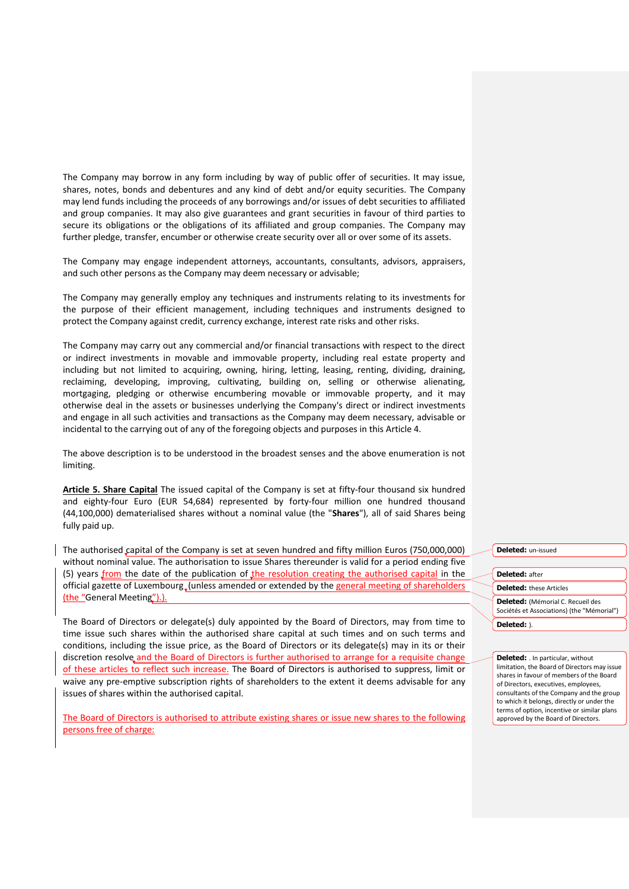The Company may borrow in any form including by way of public offer of securities. It may issue, shares, notes, bonds and debentures and any kind of debt and/or equity securities. The Company may lend funds including the proceeds of any borrowings and/or issues of debt securities to affiliated and group companies. It may also give guarantees and grant securities in favour of third parties to secure its obligations or the obligations of its affiliated and group companies. The Company may further pledge, transfer, encumber or otherwise create security over all or over some of its assets.

The Company may engage independent attorneys, accountants, consultants, advisors, appraisers, and such other persons as the Company may deem necessary or advisable;

The Company may generally employ any techniques and instruments relating to its investments for the purpose of their efficient management, including techniques and instruments designed to protect the Company against credit, currency exchange, interest rate risks and other risks.

The Company may carry out any commercial and/or financial transactions with respect to the direct or indirect investments in movable and immovable property, including real estate property and including but not limited to acquiring, owning, hiring, letting, leasing, renting, dividing, draining, reclaiming, developing, improving, cultivating, building on, selling or otherwise alienating, mortgaging, pledging or otherwise encumbering movable or immovable property, and it may otherwise deal in the assets or businesses underlying the Company's direct or indirect investments and engage in all such activities and transactions as the Company may deem necessary, advisable or incidental to the carrying out of any of the foregoing objects and purposes in this Article 4.

The above description is to be understood in the broadest senses and the above enumeration is not limiting.

**Article 5. Share Capital** The issued capital of the Company is set at fifty-four thousand six hundred and eighty-four Euro (EUR 54,684) represented by forty-four million one hundred thousand (44,100,000) dematerialised shares without a nominal value (the "**Shares**"), all of said Shares being fully paid up.

The authorised capital of the Company is set at seven hundred and fifty million Euros (750,000,000) without nominal value. The authorisation to issue Shares thereunder is valid for a period ending five (5) years from the date of the publication of the resolution creating the authorised capital in the official gazette of Luxembourg (unless amended or extended by the general meeting of shareholders (the "General Meeting").).

The Board of Directors or delegate(s) duly appointed by the Board of Directors, may from time to time issue such shares within the authorised share capital at such times and on such terms and conditions, including the issue price, as the Board of Directors or its delegate(s) may in its or their discretion resolve and the Board of Directors is further authorised to arrange for a requisite change of these articles to reflect such increase. The Board of Directors is authorised to suppress, limit or waive any pre-emptive subscription rights of shareholders to the extent it deems advisable for any issues of shares within the authorised capital.

The Board of Directors is authorised to attribute existing shares or issue new shares to the following persons free of charge:

**Deleted:** un-issued

**Deleted:** after **Deleted:** these Articles **Deleted:** (Mémorial C. Recueil des Sociétés et Associations) (the "Mémorial")

**Deleted:** ).

**Deleted:** . In particular, without limitation, the Board of Directors may issue shares in favour of members of the Board of Directors, executives, employees, consultants of the Company and the group to which it belongs, directly or under the terms of option, incentive or similar plans approved by the Board of Directors.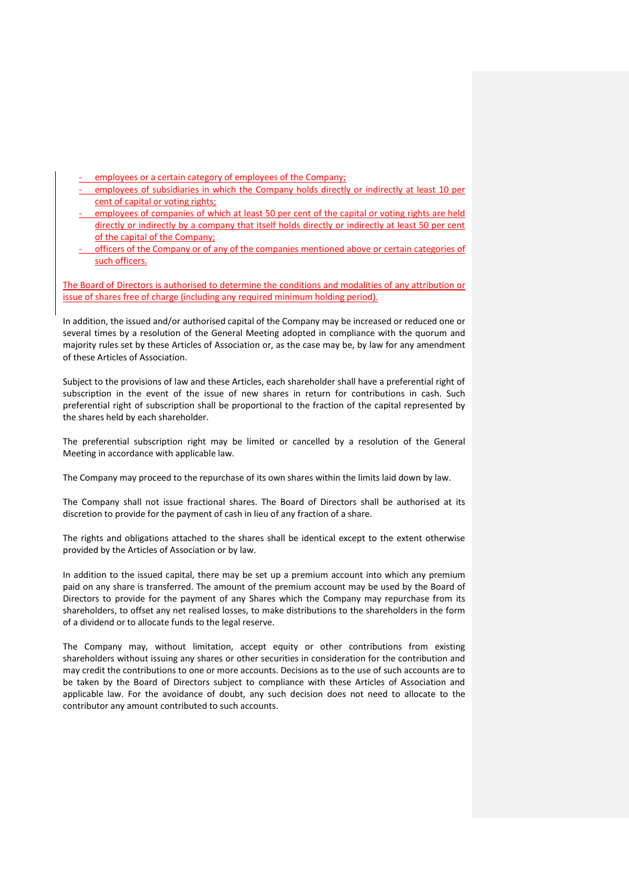- employees or a certain category of employees of the Company;
- employees of subsidiaries in which the Company holds directly or indirectly at least 10 per cent of capital or voting rights;
- employees of companies of which at least 50 per cent of the capital or voting rights are held directly or indirectly by a company that itself holds directly or indirectly at least 50 per cent of the capital of the Company;
- officers of the Company or of any of the companies mentioned above or certain categories of such officers.

The Board of Directors is authorised to determine the conditions and modalities of any attribution or issue of shares free of charge (including any required minimum holding period).

In addition, the issued and/or authorised capital of the Company may be increased or reduced one or several times by a resolution of the General Meeting adopted in compliance with the quorum and majority rules set by these Articles of Association or, as the case may be, by law for any amendment of these Articles of Association.

Subject to the provisions of law and these Articles, each shareholder shall have a preferential right of subscription in the event of the issue of new shares in return for contributions in cash. Such preferential right of subscription shall be proportional to the fraction of the capital represented by the shares held by each shareholder.

The preferential subscription right may be limited or cancelled by a resolution of the General Meeting in accordance with applicable law.

The Company may proceed to the repurchase of its own shares within the limits laid down by law.

The Company shall not issue fractional shares. The Board of Directors shall be authorised at its discretion to provide for the payment of cash in lieu of any fraction of a share.

The rights and obligations attached to the shares shall be identical except to the extent otherwise provided by the Articles of Association or by law.

In addition to the issued capital, there may be set up a premium account into which any premium paid on any share is transferred. The amount of the premium account may be used by the Board of Directors to provide for the payment of any Shares which the Company may repurchase from its shareholders, to offset any net realised losses, to make distributions to the shareholders in the form of a dividend or to allocate funds to the legal reserve.

The Company may, without limitation, accept equity or other contributions from existing shareholders without issuing any shares or other securities in consideration for the contribution and may credit the contributions to one or more accounts. Decisions as to the use of such accounts are to be taken by the Board of Directors subject to compliance with these Articles of Association and applicable law. For the avoidance of doubt, any such decision does not need to allocate to the contributor any amount contributed to such accounts.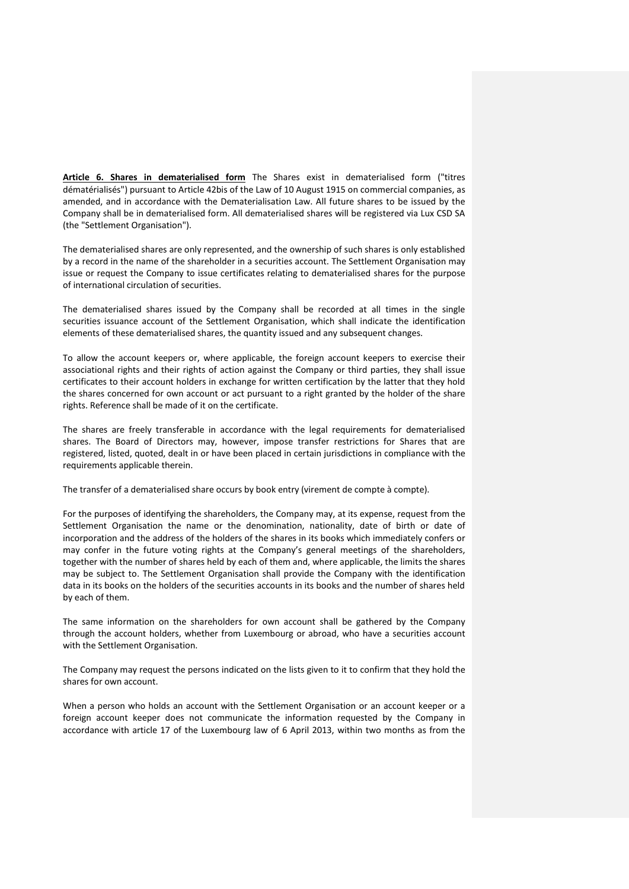**Article 6. Shares in dematerialised form** The Shares exist in dematerialised form ("titres dématérialisés") pursuant to Article 42bis of the Law of 10 August 1915 on commercial companies, as amended, and in accordance with the Dematerialisation Law. All future shares to be issued by the Company shall be in dematerialised form. All dematerialised shares will be registered via Lux CSD SA (the "Settlement Organisation").

The dematerialised shares are only represented, and the ownership of such shares is only established by a record in the name of the shareholder in a securities account. The Settlement Organisation may issue or request the Company to issue certificates relating to dematerialised shares for the purpose of international circulation of securities.

The dematerialised shares issued by the Company shall be recorded at all times in the single securities issuance account of the Settlement Organisation, which shall indicate the identification elements of these dematerialised shares, the quantity issued and any subsequent changes.

To allow the account keepers or, where applicable, the foreign account keepers to exercise their associational rights and their rights of action against the Company or third parties, they shall issue certificates to their account holders in exchange for written certification by the latter that they hold the shares concerned for own account or act pursuant to a right granted by the holder of the share rights. Reference shall be made of it on the certificate.

The shares are freely transferable in accordance with the legal requirements for dematerialised shares. The Board of Directors may, however, impose transfer restrictions for Shares that are registered, listed, quoted, dealt in or have been placed in certain jurisdictions in compliance with the requirements applicable therein.

The transfer of a dematerialised share occurs by book entry (virement de compte à compte).

For the purposes of identifying the shareholders, the Company may, at its expense, request from the Settlement Organisation the name or the denomination, nationality, date of birth or date of incorporation and the address of the holders of the shares in its books which immediately confers or may confer in the future voting rights at the Company's general meetings of the shareholders, together with the number of shares held by each of them and, where applicable, the limits the shares may be subject to. The Settlement Organisation shall provide the Company with the identification data in its books on the holders of the securities accounts in its books and the number of shares held by each of them.

The same information on the shareholders for own account shall be gathered by the Company through the account holders, whether from Luxembourg or abroad, who have a securities account with the Settlement Organisation.

The Company may request the persons indicated on the lists given to it to confirm that they hold the shares for own account.

When a person who holds an account with the Settlement Organisation or an account keeper or a foreign account keeper does not communicate the information requested by the Company in accordance with article 17 of the Luxembourg law of 6 April 2013, within two months as from the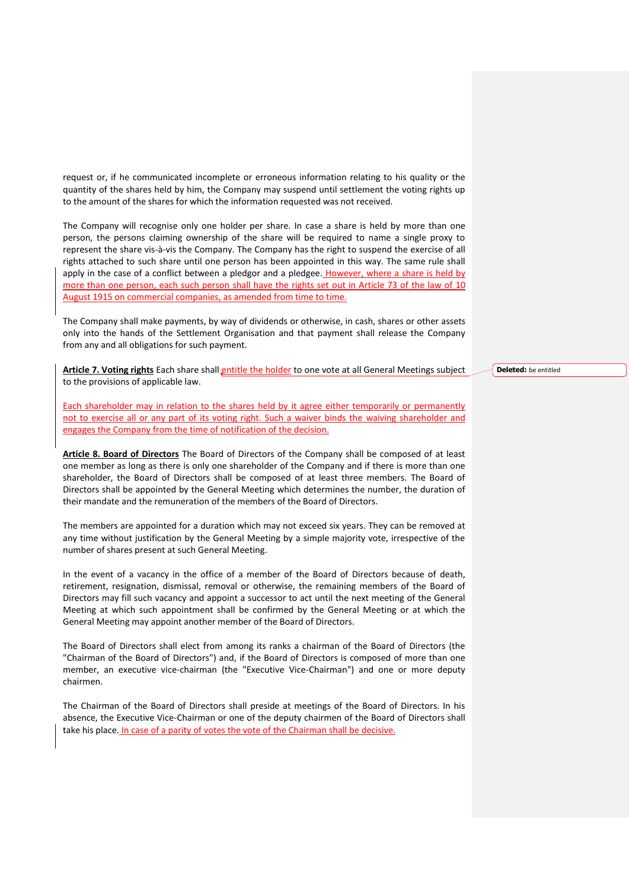request or, if he communicated incomplete or erroneous information relating to his quality or the quantity of the shares held by him, the Company may suspend until settlement the voting rights up to the amount of the shares for which the information requested was not received.

The Company will recognise only one holder per share. In case a share is held by more than one person, the persons claiming ownership of the share will be required to name a single proxy to represent the share vis-à-vis the Company. The Company has the right to suspend the exercise of all rights attached to such share until one person has been appointed in this way. The same rule shall apply in the case of a conflict between a pledgor and a pledgee. However, where a share is held by more than one person, each such person shall have the rights set out in Article 73 of the law of 10 August 1915 on commercial companies, as amended from time to time.

The Company shall make payments, by way of dividends or otherwise, in cash, shares or other assets only into the hands of the Settlement Organisation and that payment shall release the Company from any and all obligations for such payment.

**Article 7. Voting rights** Each share shall entitle the holder to one vote at all General Meetings subject to the provisions of applicable law.

Each shareholder may in relation to the shares held by it agree either temporarily or permanently not to exercise all or any part of its voting right. Such a waiver binds the waiving shareholder and engages the Company from the time of notification of the decision.

**Article 8. Board of Directors** The Board of Directors of the Company shall be composed of at least one member as long as there is only one shareholder of the Company and if there is more than one shareholder, the Board of Directors shall be composed of at least three members. The Board of Directors shall be appointed by the General Meeting which determines the number, the duration of their mandate and the remuneration of the members of the Board of Directors.

The members are appointed for a duration which may not exceed six years. They can be removed at any time without justification by the General Meeting by a simple majority vote, irrespective of the number of shares present at such General Meeting.

In the event of a vacancy in the office of a member of the Board of Directors because of death, retirement, resignation, dismissal, removal or otherwise, the remaining members of the Board of Directors may fill such vacancy and appoint a successor to act until the next meeting of the General Meeting at which such appointment shall be confirmed by the General Meeting or at which the General Meeting may appoint another member of the Board of Directors.

The Board of Directors shall elect from among its ranks a chairman of the Board of Directors (the "Chairman of the Board of Directors") and, if the Board of Directors is composed of more than one member, an executive vice-chairman (the "Executive Vice-Chairman") and one or more deputy chairmen.

The Chairman of the Board of Directors shall preside at meetings of the Board of Directors. In his absence, the Executive Vice-Chairman or one of the deputy chairmen of the Board of Directors shall take his place. In case of a parity of votes the vote of the Chairman shall be decisive.

**Deleted:** be entitled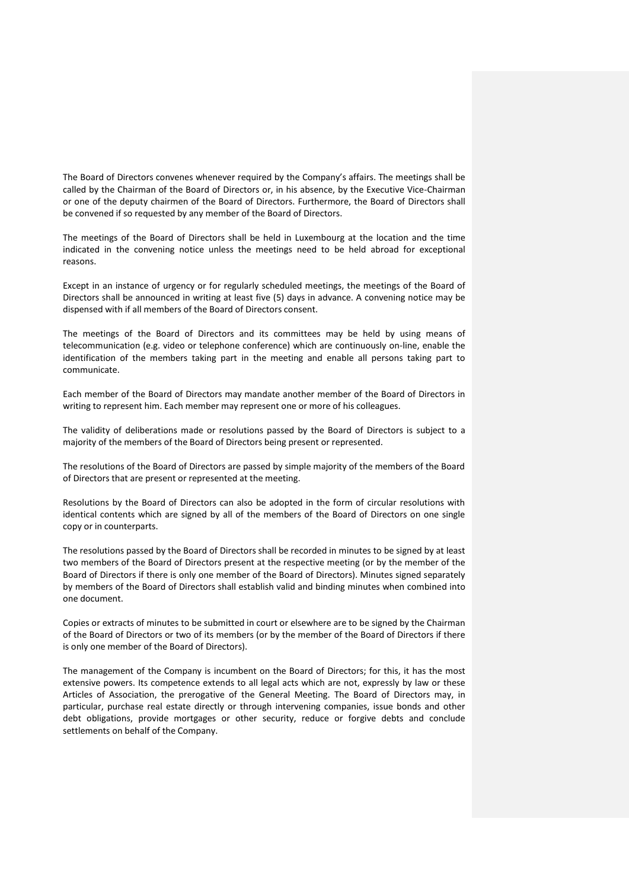The Board of Directors convenes whenever required by the Company's affairs. The meetings shall be called by the Chairman of the Board of Directors or, in his absence, by the Executive Vice-Chairman or one of the deputy chairmen of the Board of Directors. Furthermore, the Board of Directors shall be convened if so requested by any member of the Board of Directors.

The meetings of the Board of Directors shall be held in Luxembourg at the location and the time indicated in the convening notice unless the meetings need to be held abroad for exceptional reasons.

Except in an instance of urgency or for regularly scheduled meetings, the meetings of the Board of Directors shall be announced in writing at least five (5) days in advance. A convening notice may be dispensed with if all members of the Board of Directors consent.

The meetings of the Board of Directors and its committees may be held by using means of telecommunication (e.g. video or telephone conference) which are continuously on-line, enable the identification of the members taking part in the meeting and enable all persons taking part to communicate.

Each member of the Board of Directors may mandate another member of the Board of Directors in writing to represent him. Each member may represent one or more of his colleagues.

The validity of deliberations made or resolutions passed by the Board of Directors is subject to a majority of the members of the Board of Directors being present or represented.

The resolutions of the Board of Directors are passed by simple majority of the members of the Board of Directors that are present or represented at the meeting.

Resolutions by the Board of Directors can also be adopted in the form of circular resolutions with identical contents which are signed by all of the members of the Board of Directors on one single copy or in counterparts.

The resolutions passed by the Board of Directors shall be recorded in minutes to be signed by at least two members of the Board of Directors present at the respective meeting (or by the member of the Board of Directors if there is only one member of the Board of Directors). Minutes signed separately by members of the Board of Directors shall establish valid and binding minutes when combined into one document.

Copies or extracts of minutes to be submitted in court or elsewhere are to be signed by the Chairman of the Board of Directors or two of its members (or by the member of the Board of Directors if there is only one member of the Board of Directors).

The management of the Company is incumbent on the Board of Directors; for this, it has the most extensive powers. Its competence extends to all legal acts which are not, expressly by law or these Articles of Association, the prerogative of the General Meeting. The Board of Directors may, in particular, purchase real estate directly or through intervening companies, issue bonds and other debt obligations, provide mortgages or other security, reduce or forgive debts and conclude settlements on behalf of the Company.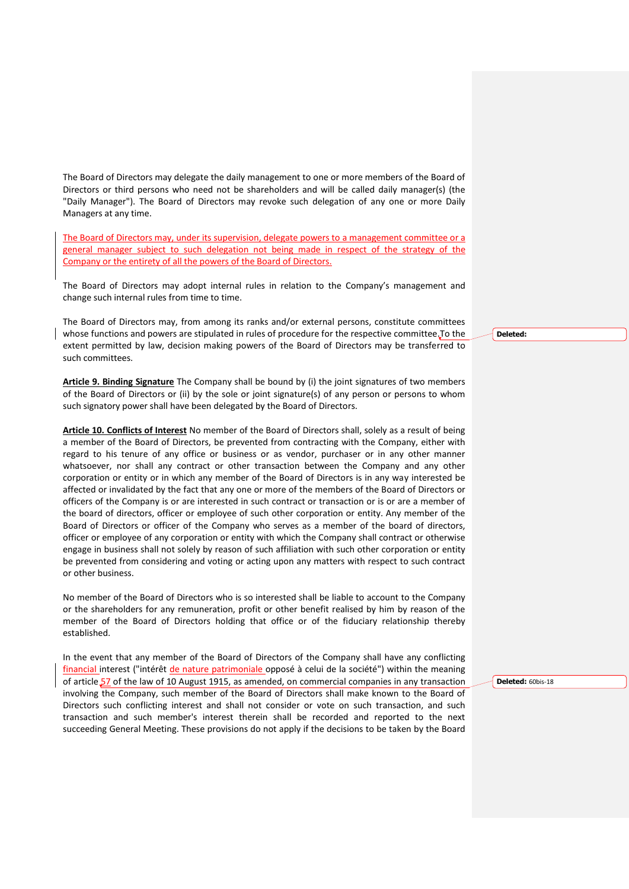The Board of Directors may delegate the daily management to one or more members of the Board of Directors or third persons who need not be shareholders and will be called daily manager(s) (the "Daily Manager"). The Board of Directors may revoke such delegation of any one or more Daily Managers at any time.

The Board of Directors may, under its supervision, delegate powers to a management committee or a general manager subject to such delegation not being made in respect of the strategy of the Company or the entirety of all the powers of the Board of Directors.

The Board of Directors may adopt internal rules in relation to the Company's management and change such internal rules from time to time.

The Board of Directors may, from among its ranks and/or external persons, constitute committees whose functions and powers are stipulated in rules of procedure for the respective committee. To the extent permitted by law, decision making powers of the Board of Directors may be transferred to such committees.

**Article 9. Binding Signature** The Company shall be bound by (i) the joint signatures of two members of the Board of Directors or (ii) by the sole or joint signature(s) of any person or persons to whom such signatory power shall have been delegated by the Board of Directors.

**Article 10. Conflicts of Interest** No member of the Board of Directors shall, solely as a result of being a member of the Board of Directors, be prevented from contracting with the Company, either with regard to his tenure of any office or business or as vendor, purchaser or in any other manner whatsoever, nor shall any contract or other transaction between the Company and any other corporation or entity or in which any member of the Board of Directors is in any way interested be affected or invalidated by the fact that any one or more of the members of the Board of Directors or officers of the Company is or are interested in such contract or transaction or is or are a member of the board of directors, officer or employee of such other corporation or entity. Any member of the Board of Directors or officer of the Company who serves as a member of the board of directors, officer or employee of any corporation or entity with which the Company shall contract or otherwise engage in business shall not solely by reason of such affiliation with such other corporation or entity be prevented from considering and voting or acting upon any matters with respect to such contract or other business.

No member of the Board of Directors who is so interested shall be liable to account to the Company or the shareholders for any remuneration, profit or other benefit realised by him by reason of the member of the Board of Directors holding that office or of the fiduciary relationship thereby established.

In the event that any member of the Board of Directors of the Company shall have any conflicting financial interest ("intérêt de nature patrimoniale opposé à celui de la société") within the meaning of article 57 of the law of 10 August 1915, as amended, on commercial companies in any transaction involving the Company, such member of the Board of Directors shall make known to the Board of Directors such conflicting interest and shall not consider or vote on such transaction, and such transaction and such member's interest therein shall be recorded and reported to the next succeeding General Meeting. These provisions do not apply if the decisions to be taken by the Board **Deleted:** 

**Deleted:** 60bis-18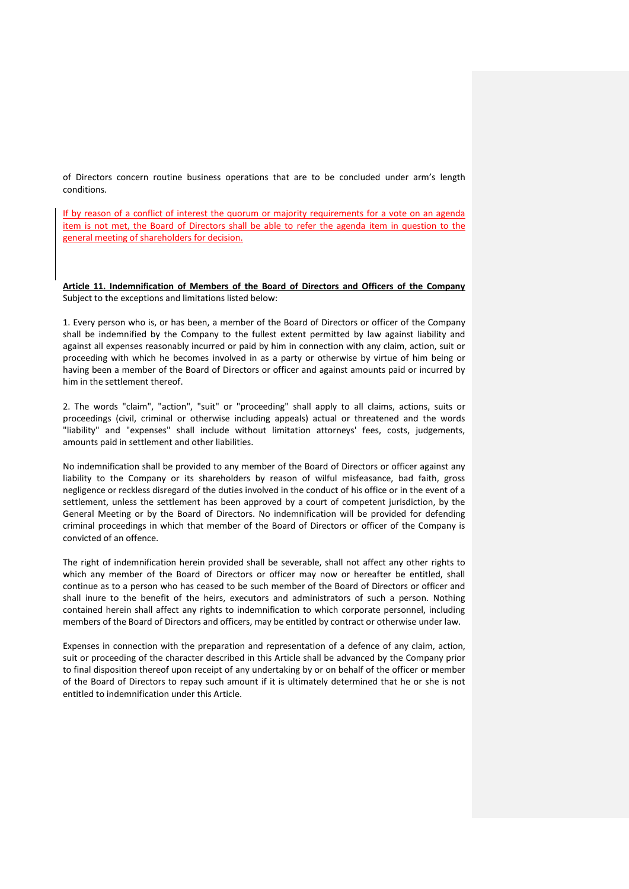of Directors concern routine business operations that are to be concluded under arm's length conditions.

If by reason of a conflict of interest the quorum or majority requirements for a vote on an agenda item is not met, the Board of Directors shall be able to refer the agenda item in question to the general meeting of shareholders for decision.

**Article 11. Indemnification of Members of the Board of Directors and Officers of the Company** Subject to the exceptions and limitations listed below:

1. Every person who is, or has been, a member of the Board of Directors or officer of the Company shall be indemnified by the Company to the fullest extent permitted by law against liability and against all expenses reasonably incurred or paid by him in connection with any claim, action, suit or proceeding with which he becomes involved in as a party or otherwise by virtue of him being or having been a member of the Board of Directors or officer and against amounts paid or incurred by him in the settlement thereof.

2. The words "claim", "action", "suit" or "proceeding" shall apply to all claims, actions, suits or proceedings (civil, criminal or otherwise including appeals) actual or threatened and the words "liability" and "expenses" shall include without limitation attorneys' fees, costs, judgements, amounts paid in settlement and other liabilities.

No indemnification shall be provided to any member of the Board of Directors or officer against any liability to the Company or its shareholders by reason of wilful misfeasance, bad faith, gross negligence or reckless disregard of the duties involved in the conduct of his office or in the event of a settlement, unless the settlement has been approved by a court of competent jurisdiction, by the General Meeting or by the Board of Directors. No indemnification will be provided for defending criminal proceedings in which that member of the Board of Directors or officer of the Company is convicted of an offence.

The right of indemnification herein provided shall be severable, shall not affect any other rights to which any member of the Board of Directors or officer may now or hereafter be entitled, shall continue as to a person who has ceased to be such member of the Board of Directors or officer and shall inure to the benefit of the heirs, executors and administrators of such a person. Nothing contained herein shall affect any rights to indemnification to which corporate personnel, including members of the Board of Directors and officers, may be entitled by contract or otherwise under law.

Expenses in connection with the preparation and representation of a defence of any claim, action, suit or proceeding of the character described in this Article shall be advanced by the Company prior to final disposition thereof upon receipt of any undertaking by or on behalf of the officer or member of the Board of Directors to repay such amount if it is ultimately determined that he or she is not entitled to indemnification under this Article.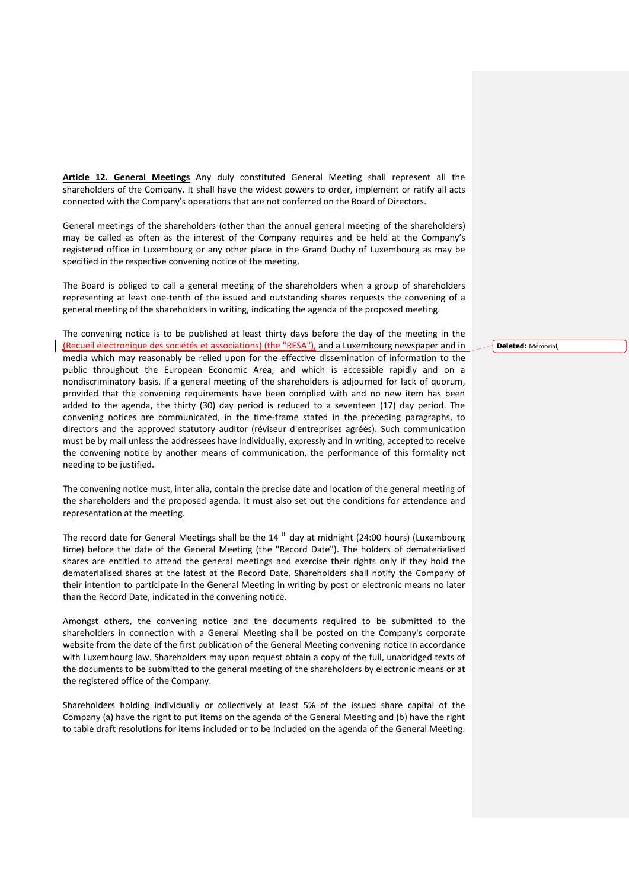**Article 12. General Meetings** Any duly constituted General Meeting shall represent all the shareholders of the Company. It shall have the widest powers to order, implement or ratify all acts connected with the Company's operations that are not conferred on the Board of Directors.

General meetings of the shareholders (other than the annual general meeting of the shareholders) may be called as often as the interest of the Company requires and be held at the Company's registered office in Luxembourg or any other place in the Grand Duchy of Luxembourg as may be specified in the respective convening notice of the meeting.

The Board is obliged to call a general meeting of the shareholders when a group of shareholders representing at least one-tenth of the issued and outstanding shares requests the convening of a general meeting of the shareholders in writing, indicating the agenda of the proposed meeting.

The convening notice is to be published at least thirty days before the day of the meeting in the (Recueil électronique des sociétés et associations) (the "RESA"), and a Luxembourg newspaper and in media which may reasonably be relied upon for the effective dissemination of information to the public throughout the European Economic Area, and which is accessible rapidly and on a nondiscriminatory basis. If a general meeting of the shareholders is adjourned for lack of quorum, provided that the convening requirements have been complied with and no new item has been added to the agenda, the thirty (30) day period is reduced to a seventeen (17) day period. The convening notices are communicated, in the time-frame stated in the preceding paragraphs, to directors and the approved statutory auditor (réviseur d'entreprises agréés). Such communication must be by mail unless the addressees have individually, expressly and in writing, accepted to receive the convening notice by another means of communication, the performance of this formality not needing to be justified.

The convening notice must, inter alia, contain the precise date and location of the general meeting of the shareholders and the proposed agenda. It must also set out the conditions for attendance and representation at the meeting.

The record date for General Meetings shall be the 14<sup>th</sup> day at midnight (24:00 hours) (Luxembourg time) before the date of the General Meeting (the "Record Date"). The holders of dematerialised shares are entitled to attend the general meetings and exercise their rights only if they hold the dematerialised shares at the latest at the Record Date. Shareholders shall notify the Company of their intention to participate in the General Meeting in writing by post or electronic means no later than the Record Date, indicated in the convening notice.

Amongst others, the convening notice and the documents required to be submitted to the shareholders in connection with a General Meeting shall be posted on the Company's corporate website from the date of the first publication of the General Meeting convening notice in accordance with Luxembourg law. Shareholders may upon request obtain a copy of the full, unabridged texts of the documents to be submitted to the general meeting of the shareholders by electronic means or at the registered office of the Company.

Shareholders holding individually or collectively at least 5% of the issued share capital of the Company (a) have the right to put items on the agenda of the General Meeting and (b) have the right to table draft resolutions for items included or to be included on the agenda of the General Meeting.

**Deleted:** Mémorial,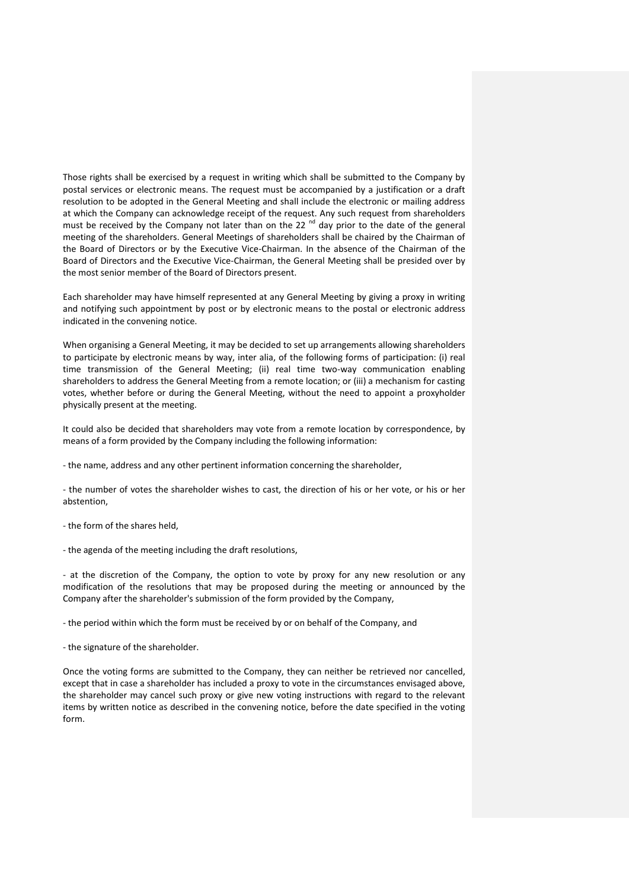Those rights shall be exercised by a request in writing which shall be submitted to the Company by postal services or electronic means. The request must be accompanied by a justification or a draft resolution to be adopted in the General Meeting and shall include the electronic or mailing address at which the Company can acknowledge receipt of the request. Any such request from shareholders must be received by the Company not later than on the 22 $^{\text{nd}}$  day prior to the date of the general meeting of the shareholders. General Meetings of shareholders shall be chaired by the Chairman of the Board of Directors or by the Executive Vice-Chairman. In the absence of the Chairman of the Board of Directors and the Executive Vice-Chairman, the General Meeting shall be presided over by the most senior member of the Board of Directors present.

Each shareholder may have himself represented at any General Meeting by giving a proxy in writing and notifying such appointment by post or by electronic means to the postal or electronic address indicated in the convening notice.

When organising a General Meeting, it may be decided to set up arrangements allowing shareholders to participate by electronic means by way, inter alia, of the following forms of participation: (i) real time transmission of the General Meeting; (ii) real time two-way communication enabling shareholders to address the General Meeting from a remote location; or (iii) a mechanism for casting votes, whether before or during the General Meeting, without the need to appoint a proxyholder physically present at the meeting.

It could also be decided that shareholders may vote from a remote location by correspondence, by means of a form provided by the Company including the following information:

- the name, address and any other pertinent information concerning the shareholder,

- the number of votes the shareholder wishes to cast, the direction of his or her vote, or his or her abstention,

- the form of the shares held,

- the agenda of the meeting including the draft resolutions,

- at the discretion of the Company, the option to vote by proxy for any new resolution or any modification of the resolutions that may be proposed during the meeting or announced by the Company after the shareholder's submission of the form provided by the Company,

- the period within which the form must be received by or on behalf of the Company, and

- the signature of the shareholder.

Once the voting forms are submitted to the Company, they can neither be retrieved nor cancelled, except that in case a shareholder has included a proxy to vote in the circumstances envisaged above, the shareholder may cancel such proxy or give new voting instructions with regard to the relevant items by written notice as described in the convening notice, before the date specified in the voting form.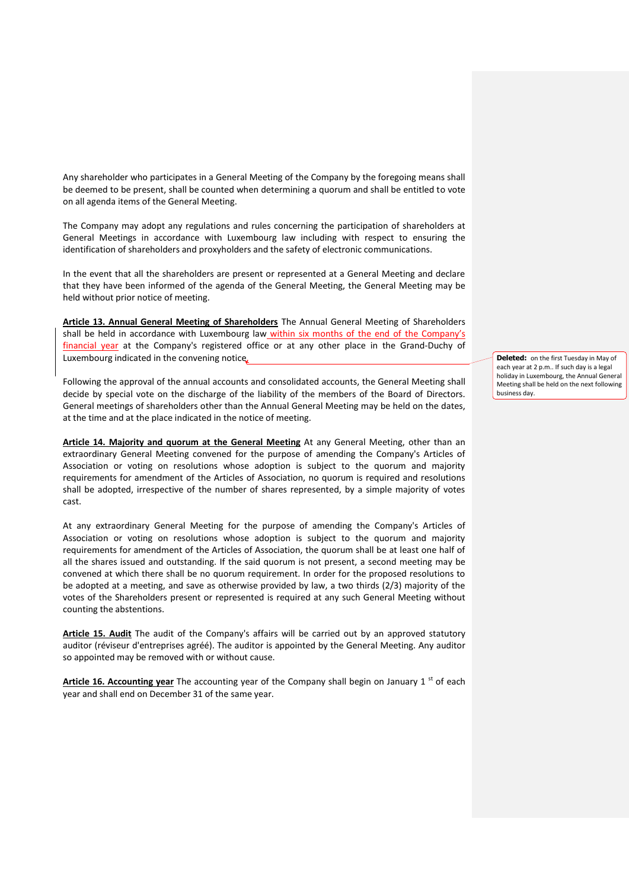Any shareholder who participates in a General Meeting of the Company by the foregoing means shall be deemed to be present, shall be counted when determining a quorum and shall be entitled to vote on all agenda items of the General Meeting.

The Company may adopt any regulations and rules concerning the participation of shareholders at General Meetings in accordance with Luxembourg law including with respect to ensuring the identification of shareholders and proxyholders and the safety of electronic communications.

In the event that all the shareholders are present or represented at a General Meeting and declare that they have been informed of the agenda of the General Meeting, the General Meeting may be held without prior notice of meeting.

**Article 13. Annual General Meeting of Shareholders** The Annual General Meeting of Shareholders shall be held in accordance with Luxembourg law within six months of the end of the Company's financial year at the Company's registered office or at any other place in the Grand-Duchy of Luxembourg indicated in the convening notice.

Following the approval of the annual accounts and consolidated accounts, the General Meeting shall decide by special vote on the discharge of the liability of the members of the Board of Directors. General meetings of shareholders other than the Annual General Meeting may be held on the dates, at the time and at the place indicated in the notice of meeting.

**Article 14. Majority and quorum at the General Meeting** At any General Meeting, other than an extraordinary General Meeting convened for the purpose of amending the Company's Articles of Association or voting on resolutions whose adoption is subject to the quorum and majority requirements for amendment of the Articles of Association, no quorum is required and resolutions shall be adopted, irrespective of the number of shares represented, by a simple majority of votes cast.

At any extraordinary General Meeting for the purpose of amending the Company's Articles of Association or voting on resolutions whose adoption is subject to the quorum and majority requirements for amendment of the Articles of Association, the quorum shall be at least one half of all the shares issued and outstanding. If the said quorum is not present, a second meeting may be convened at which there shall be no quorum requirement. In order for the proposed resolutions to be adopted at a meeting, and save as otherwise provided by law, a two thirds (2/3) majority of the votes of the Shareholders present or represented is required at any such General Meeting without counting the abstentions.

**Article 15. Audit** The audit of the Company's affairs will be carried out by an approved statutory auditor (réviseur d'entreprises agréé). The auditor is appointed by the General Meeting. Any auditor so appointed may be removed with or without cause.

Article 16. Accounting year The accounting year of the Company shall begin on January 1<sup>st</sup> of each year and shall end on December 31 of the same year.

**Deleted:** on the first Tuesday in May of each year at 2 p.m.. If such day is a legal holiday in Luxembourg, the Annual General Meeting shall be held on the next following business day.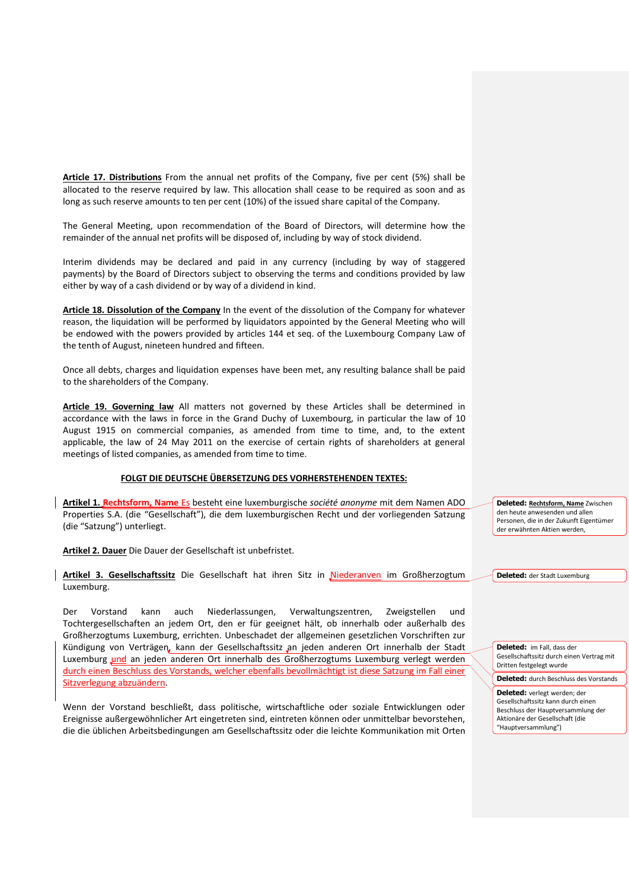**Article 17. Distributions** From the annual net profits of the Company, five per cent (5%) shall be allocated to the reserve required by law. This allocation shall cease to be required as soon and as long as such reserve amounts to ten per cent (10%) of the issued share capital of the Company.

The General Meeting, upon recommendation of the Board of Directors, will determine how the remainder of the annual net profits will be disposed of, including by way of stock dividend.

Interim dividends may be declared and paid in any currency (including by way of staggered payments) by the Board of Directors subject to observing the terms and conditions provided by law either by way of a cash dividend or by way of a dividend in kind.

**Article 18. Dissolution of the Company** In the event of the dissolution of the Company for whatever reason, the liquidation will be performed by liquidators appointed by the General Meeting who will be endowed with the powers provided by articles 144 et seq. of the Luxembourg Company Law of the tenth of August, nineteen hundred and fifteen.

Once all debts, charges and liquidation expenses have been met, any resulting balance shall be paid to the shareholders of the Company.

**Article 19. Governing law** All matters not governed by these Articles shall be determined in accordance with the laws in force in the Grand Duchy of Luxembourg, in particular the law of 10 August 1915 on commercial companies, as amended from time to time, and, to the extent applicable, the law of 24 May 2011 on the exercise of certain rights of shareholders at general meetings of listed companies, as amended from time to time.

## **FOLGT DIE DEUTSCHE ÜBERSETZUNG DES VORHERSTEHENDEN TEXTES:**

**Artikel 1. Rechtsform, Name** Es besteht eine luxemburgische *société anonyme* mit dem Namen ADO Properties S.A. (die "Gesellschaft"), die dem luxemburgischen Recht und der vorliegenden Satzung (die "Satzung") unterliegt.

**Artikel 2. Dauer** Die Dauer der Gesellschaft ist unbefristet.

**Artikel 3. Gesellschaftssitz** Die Gesellschaft hat ihren Sitz in Niederanven im Großherzogtum Luxemburg.

Der Vorstand kann auch Niederlassungen, Verwaltungszentren, Zweigstellen und Tochtergesellschaften an jedem Ort, den er für geeignet hält, ob innerhalb oder außerhalb des Großherzogtums Luxemburg, errichten. Unbeschadet der allgemeinen gesetzlichen Vorschriften zur Kündigung von Verträgen, kann der Gesellschaftssitz an jeden anderen Ort innerhalb der Stadt Luxemburg und an jeden anderen Ort innerhalb des Großherzogtums Luxemburg verlegt werden durch einen Beschluss des Vorstands, welcher ebenfalls bevollmächtigt ist diese Satzung im Fall einer Sitzverlegung abzuändern.

Wenn der Vorstand beschließt, dass politische, wirtschaftliche oder soziale Entwicklungen oder Ereignisse außergewöhnlicher Art eingetreten sind, eintreten können oder unmittelbar bevorstehen, die die üblichen Arbeitsbedingungen am Gesellschaftssitz oder die leichte Kommunikation mit Orten **Deleted: Rechtsform, Name** Zwischen den heute anwesenden und allen Personen, die in der Zukunft Eigentümer der erwähnten Aktien werden,

**Deleted:** der Stadt Luxemburg

**Deleted:** im Fall, dass der Gesellschaftssitz durch einen Vertrag mit Dritten festgelegt wurde

**Deleted:** durch Beschluss des Vorstands

**Deleted:** verlegt werden; der Gesellschaftssitz kann durch einen Beschluss der Hauptversammlung der Aktionäre der Gesellschaft (die "Hauptversammlung")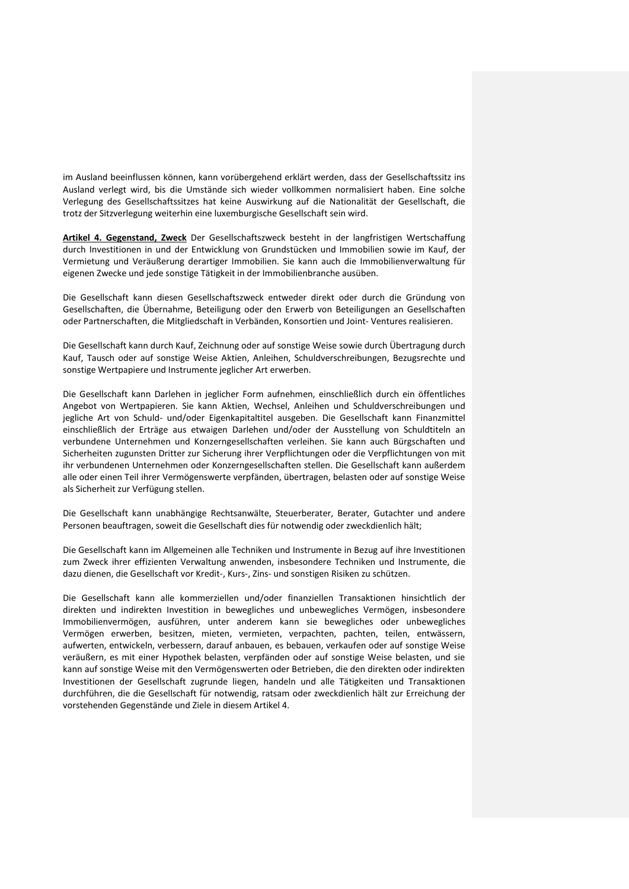im Ausland beeinflussen können, kann vorübergehend erklärt werden, dass der Gesellschaftssitz ins Ausland verlegt wird, bis die Umstände sich wieder vollkommen normalisiert haben. Eine solche Verlegung des Gesellschaftssitzes hat keine Auswirkung auf die Nationalität der Gesellschaft, die trotz der Sitzverlegung weiterhin eine luxemburgische Gesellschaft sein wird.

**Artikel 4. Gegenstand, Zweck** Der Gesellschaftszweck besteht in der langfristigen Wertschaffung durch Investitionen in und der Entwicklung von Grundstücken und Immobilien sowie im Kauf, der Vermietung und Veräußerung derartiger Immobilien. Sie kann auch die Immobilienverwaltung für eigenen Zwecke und jede sonstige Tätigkeit in der Immobilienbranche ausüben.

Die Gesellschaft kann diesen Gesellschaftszweck entweder direkt oder durch die Gründung von Gesellschaften, die Übernahme, Beteiligung oder den Erwerb von Beteiligungen an Gesellschaften oder Partnerschaften, die Mitgliedschaft in Verbänden, Konsortien und Joint- Ventures realisieren.

Die Gesellschaft kann durch Kauf, Zeichnung oder auf sonstige Weise sowie durch Übertragung durch Kauf, Tausch oder auf sonstige Weise Aktien, Anleihen, Schuldverschreibungen, Bezugsrechte und sonstige Wertpapiere und Instrumente jeglicher Art erwerben.

Die Gesellschaft kann Darlehen in jeglicher Form aufnehmen, einschließlich durch ein öffentliches Angebot von Wertpapieren. Sie kann Aktien, Wechsel, Anleihen und Schuldverschreibungen und jegliche Art von Schuld- und/oder Eigenkapitaltitel ausgeben. Die Gesellschaft kann Finanzmittel einschließlich der Erträge aus etwaigen Darlehen und/oder der Ausstellung von Schuldtiteln an verbundene Unternehmen und Konzerngesellschaften verleihen. Sie kann auch Bürgschaften und Sicherheiten zugunsten Dritter zur Sicherung ihrer Verpflichtungen oder die Verpflichtungen von mit ihr verbundenen Unternehmen oder Konzerngesellschaften stellen. Die Gesellschaft kann außerdem alle oder einen Teil ihrer Vermögenswerte verpfänden, übertragen, belasten oder auf sonstige Weise als Sicherheit zur Verfügung stellen.

Die Gesellschaft kann unabhängige Rechtsanwälte, Steuerberater, Berater, Gutachter und andere Personen beauftragen, soweit die Gesellschaft dies für notwendig oder zweckdienlich hält;

Die Gesellschaft kann im Allgemeinen alle Techniken und Instrumente in Bezug auf ihre Investitionen zum Zweck ihrer effizienten Verwaltung anwenden, insbesondere Techniken und Instrumente, die dazu dienen, die Gesellschaft vor Kredit-, Kurs-, Zins- und sonstigen Risiken zu schützen.

Die Gesellschaft kann alle kommerziellen und/oder finanziellen Transaktionen hinsichtlich der direkten und indirekten Investition in bewegliches und unbewegliches Vermögen, insbesondere Immobilienvermögen, ausführen, unter anderem kann sie bewegliches oder unbewegliches Vermögen erwerben, besitzen, mieten, vermieten, verpachten, pachten, teilen, entwässern, aufwerten, entwickeln, verbessern, darauf anbauen, es bebauen, verkaufen oder auf sonstige Weise veräußern, es mit einer Hypothek belasten, verpfänden oder auf sonstige Weise belasten, und sie kann auf sonstige Weise mit den Vermögenswerten oder Betrieben, die den direkten oder indirekten Investitionen der Gesellschaft zugrunde liegen, handeln und alle Tätigkeiten und Transaktionen durchführen, die die Gesellschaft für notwendig, ratsam oder zweckdienlich hält zur Erreichung der vorstehenden Gegenstände und Ziele in diesem Artikel 4.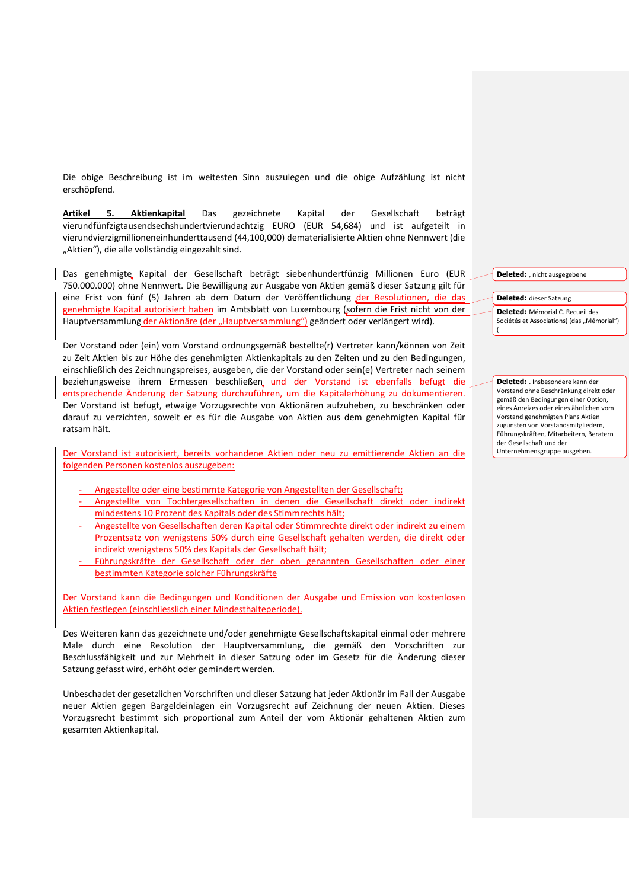Die obige Beschreibung ist im weitesten Sinn auszulegen und die obige Aufzählung ist nicht erschöpfend.

**Artikel 5. Aktienkapital** Das gezeichnete Kapital der Gesellschaft beträgt vierundfünfzigtausendsechshundertvierundachtzig EURO (EUR 54,684) und ist aufgeteilt in vierundvierzigmillioneneinhunderttausend (44,100,000) dematerialisierte Aktien ohne Nennwert (die "Aktien"), die alle vollständig eingezahlt sind.

Das genehmigte Kapital der Gesellschaft beträgt siebenhundertfünzig Millionen Euro (EUR 750.000.000) ohne Nennwert. Die Bewilligung zur Ausgabe von Aktien gemäß dieser Satzung gilt für eine Frist von fünf (5) Jahren ab dem Datum der Veröffentlichung der Resolutionen, die das genehmigte Kapital autorisiert haben im Amtsblatt von Luxembourg (sofern die Frist nicht von der Hauptversammlung der Aktionäre (der "Hauptversammlung") geändert oder verlängert wird).

Der Vorstand oder (ein) vom Vorstand ordnungsgemäß bestellte(r) Vertreter kann/können von Zeit zu Zeit Aktien bis zur Höhe des genehmigten Aktienkapitals zu den Zeiten und zu den Bedingungen, einschließlich des Zeichnungspreises, ausgeben, die der Vorstand oder sein(e) Vertreter nach seinem beziehungsweise ihrem Ermessen beschließen und der Vorstand ist ebenfalls befugt die entsprechende Änderung der Satzung durchzuführen, um die Kapitalerhöhung zu dokumentieren. Der Vorstand ist befugt, etwaige Vorzugsrechte von Aktionären aufzuheben, zu beschränken oder darauf zu verzichten, soweit er es für die Ausgabe von Aktien aus dem genehmigten Kapital für ratsam hält.

Der Vorstand ist autorisiert, bereits vorhandene Aktien oder neu zu emittierende Aktien an die folgenden Personen kostenlos auszugeben:

- Angestellte oder eine bestimmte Kategorie von Angestellten der Gesellschaft;
- Angestellte von Tochtergesellschaften in denen die Gesellschaft direkt oder indirekt mindestens 10 Prozent des Kapitals oder des Stimmrechts hält;
- Angestellte von Gesellschaften deren Kapital oder Stimmrechte direkt oder indirekt zu einem Prozentsatz von wenigstens 50% durch eine Gesellschaft gehalten werden, die direkt oder indirekt wenigstens 50% des Kapitals der Gesellschaft hält;
- Führungskräfte der Gesellschaft oder der oben genannten Gesellschaften oder einer bestimmten Kategorie solcher Führungskräfte

Der Vorstand kann die Bedingungen und Konditionen der Ausgabe und Emission von kostenlosen Aktien festlegen (einschliesslich einer Mindesthalteperiode).

Des Weiteren kann das gezeichnete und/oder genehmigte Gesellschaftskapital einmal oder mehrere Male durch eine Resolution der Hauptversammlung, die gemäß den Vorschriften zur Beschlussfähigkeit und zur Mehrheit in dieser Satzung oder im Gesetz für die Änderung dieser Satzung gefasst wird, erhöht oder gemindert werden.

Unbeschadet der gesetzlichen Vorschriften und dieser Satzung hat jeder Aktionär im Fall der Ausgabe neuer Aktien gegen Bargeldeinlagen ein Vorzugsrecht auf Zeichnung der neuen Aktien. Dieses Vorzugsrecht bestimmt sich proportional zum Anteil der vom Aktionär gehaltenen Aktien zum gesamten Aktienkapital.

**Deleted:** , nicht ausgegebene

## **Deleted:** dieser Satzung

**Deleted:** Mémorial C. Recueil des Sociétés et Associations) (das "Mémorial") (

**Deleted:** . Insbesondere kann der Vorstand ohne Beschränkung direkt oder gemäß den Bedingungen einer Option, eines Anreizes oder eines ähnlichen vom Vorstand genehmigten Plans Aktien zugunsten von Vorstandsmitgliedern, Führungskräften, Mitarbeitern, Beratern der Gesellschaft und der Unternehmensgruppe ausgeben.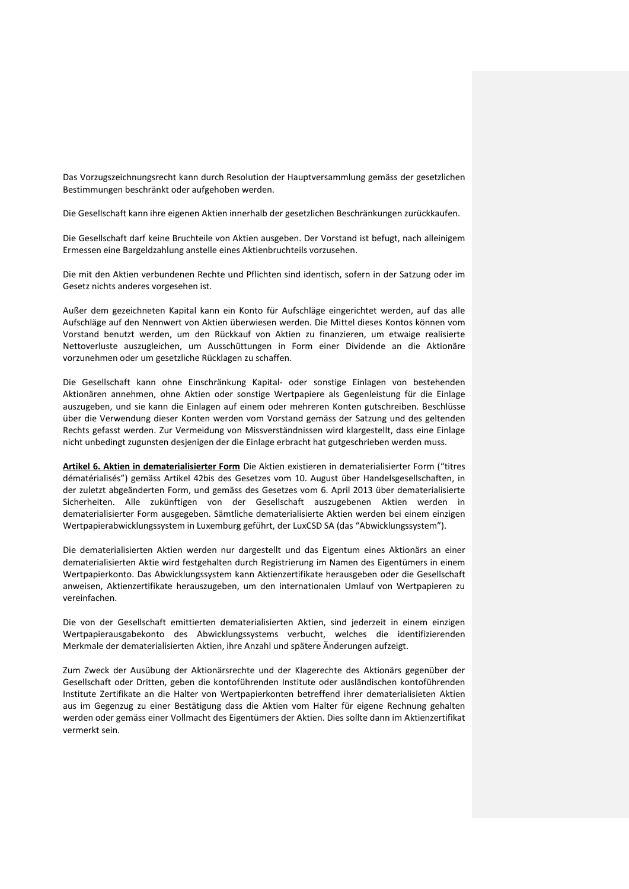Das Vorzugszeichnungsrecht kann durch Resolution der Hauptversammlung gemäss der gesetzlichen Bestimmungen beschränkt oder aufgehoben werden.

Die Gesellschaft kann ihre eigenen Aktien innerhalb der gesetzlichen Beschränkungen zurückkaufen.

Die Gesellschaft darf keine Bruchteile von Aktien ausgeben. Der Vorstand ist befugt, nach alleinigem Ermessen eine Bargeldzahlung anstelle eines Aktienbruchteils vorzusehen.

Die mit den Aktien verbundenen Rechte und Pflichten sind identisch, sofern in der Satzung oder im Gesetz nichts anderes vorgesehen ist.

Außer dem gezeichneten Kapital kann ein Konto für Aufschläge eingerichtet werden, auf das alle Aufschläge auf den Nennwert von Aktien überwiesen werden. Die Mittel dieses Kontos können vom Vorstand benutzt werden, um den Rückkauf von Aktien zu finanzieren, um etwaige realisierte Nettoverluste auszugleichen, um Ausschüttungen in Form einer Dividende an die Aktionäre vorzunehmen oder um gesetzliche Rücklagen zu schaffen.

Die Gesellschaft kann ohne Einschränkung Kapital- oder sonstige Einlagen von bestehenden Aktionären annehmen, ohne Aktien oder sonstige Wertpapiere als Gegenleistung für die Einlage auszugeben, und sie kann die Einlagen auf einem oder mehreren Konten gutschreiben. Beschlüsse über die Verwendung dieser Konten werden vom Vorstand gemäss der Satzung und des geltenden Rechts gefasst werden. Zur Vermeidung von Missverständnissen wird klargestellt, dass eine Einlage nicht unbedingt zugunsten desjenigen der die Einlage erbracht hat gutgeschrieben werden muss.

**Artikel 6. Aktien in dematerialisierter Form** Die Aktien existieren in dematerialisierter Form ("titres dématérialisés") gemäss Artikel 42bis des Gesetzes vom 10. August über Handelsgesellschaften, in der zuletzt abgeänderten Form, und gemäss des Gesetzes vom 6. April 2013 über dematerialisierte Sicherheiten. Alle zukünftigen von der Gesellschaft auszugebenen Aktien werden in dematerialisierter Form ausgegeben. Sämtliche dematerialisierte Aktien werden bei einem einzigen Wertpapierabwicklungssystem in Luxemburg geführt, der LuxCSD SA (das "Abwicklungssystem").

Die dematerialisierten Aktien werden nur dargestellt und das Eigentum eines Aktionärs an einer dematerialisierten Aktie wird festgehalten durch Registrierung im Namen des Eigentümers in einem Wertpapierkonto. Das Abwicklungssystem kann Aktienzertifikate herausgeben oder die Gesellschaft anweisen, Aktienzertifikate herauszugeben, um den internationalen Umlauf von Wertpapieren zu vereinfachen.

Die von der Gesellschaft emittierten dematerialisierten Aktien, sind jederzeit in einem einzigen Wertpapierausgabekonto des Abwicklungssystems verbucht, welches die identifizierenden Merkmale der dematerialisierten Aktien, ihre Anzahl und spätere Änderungen aufzeigt.

Zum Zweck der Ausübung der Aktionärsrechte und der Klagerechte des Aktionärs gegenüber der Gesellschaft oder Dritten, geben die kontoführenden Institute oder ausländischen kontoführenden Institute Zertifikate an die Halter von Wertpapierkonten betreffend ihrer dematerialisieten Aktien aus im Gegenzug zu einer Bestätigung dass die Aktien vom Halter für eigene Rechnung gehalten werden oder gemäss einer Vollmacht des Eigentümers der Aktien. Dies sollte dann im Aktienzertifikat vermerkt sein.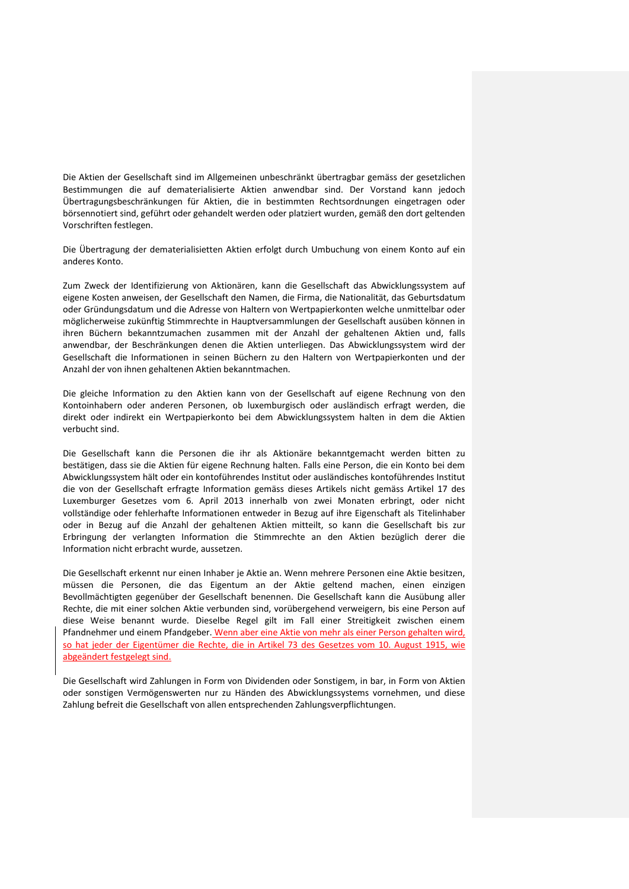Die Aktien der Gesellschaft sind im Allgemeinen unbeschränkt übertragbar gemäss der gesetzlichen Bestimmungen die auf dematerialisierte Aktien anwendbar sind. Der Vorstand kann jedoch Übertragungsbeschränkungen für Aktien, die in bestimmten Rechtsordnungen eingetragen oder börsennotiert sind, geführt oder gehandelt werden oder platziert wurden, gemäß den dort geltenden Vorschriften festlegen.

Die Übertragung der dematerialisietten Aktien erfolgt durch Umbuchung von einem Konto auf ein anderes Konto.

Zum Zweck der Identifizierung von Aktionären, kann die Gesellschaft das Abwicklungssystem auf eigene Kosten anweisen, der Gesellschaft den Namen, die Firma, die Nationalität, das Geburtsdatum oder Gründungsdatum und die Adresse von Haltern von Wertpapierkonten welche unmittelbar oder möglicherweise zukünftig Stimmrechte in Hauptversammlungen der Gesellschaft ausüben können in ihren Büchern bekanntzumachen zusammen mit der Anzahl der gehaltenen Aktien und, falls anwendbar, der Beschränkungen denen die Aktien unterliegen. Das Abwicklungssystem wird der Gesellschaft die Informationen in seinen Büchern zu den Haltern von Wertpapierkonten und der Anzahl der von ihnen gehaltenen Aktien bekanntmachen.

Die gleiche Information zu den Aktien kann von der Gesellschaft auf eigene Rechnung von den Kontoinhabern oder anderen Personen, ob luxemburgisch oder ausländisch erfragt werden, die direkt oder indirekt ein Wertpapierkonto bei dem Abwicklungssystem halten in dem die Aktien verbucht sind.

Die Gesellschaft kann die Personen die ihr als Aktionäre bekanntgemacht werden bitten zu bestätigen, dass sie die Aktien für eigene Rechnung halten. Falls eine Person, die ein Konto bei dem Abwicklungssystem hält oder ein kontoführendes Institut oder ausländisches kontoführendes Institut die von der Gesellschaft erfragte Information gemäss dieses Artikels nicht gemäss Artikel 17 des Luxemburger Gesetzes vom 6. April 2013 innerhalb von zwei Monaten erbringt, oder nicht vollständige oder fehlerhafte Informationen entweder in Bezug auf ihre Eigenschaft als Titelinhaber oder in Bezug auf die Anzahl der gehaltenen Aktien mitteilt, so kann die Gesellschaft bis zur Erbringung der verlangten Information die Stimmrechte an den Aktien bezüglich derer die Information nicht erbracht wurde, aussetzen.

Die Gesellschaft erkennt nur einen Inhaber je Aktie an. Wenn mehrere Personen eine Aktie besitzen, müssen die Personen, die das Eigentum an der Aktie geltend machen, einen einzigen Bevollmächtigten gegenüber der Gesellschaft benennen. Die Gesellschaft kann die Ausübung aller Rechte, die mit einer solchen Aktie verbunden sind, vorübergehend verweigern, bis eine Person auf diese Weise benannt wurde. Dieselbe Regel gilt im Fall einer Streitigkeit zwischen einem Pfandnehmer und einem Pfandgeber. Wenn aber eine Aktie von mehr als einer Person gehalten wird, so hat jeder der Eigentümer die Rechte, die in Artikel 73 des Gesetzes vom 10. August 1915, wie abgeändert festgelegt sind.

Die Gesellschaft wird Zahlungen in Form von Dividenden oder Sonstigem, in bar, in Form von Aktien oder sonstigen Vermögenswerten nur zu Händen des Abwicklungssystems vornehmen, und diese Zahlung befreit die Gesellschaft von allen entsprechenden Zahlungsverpflichtungen.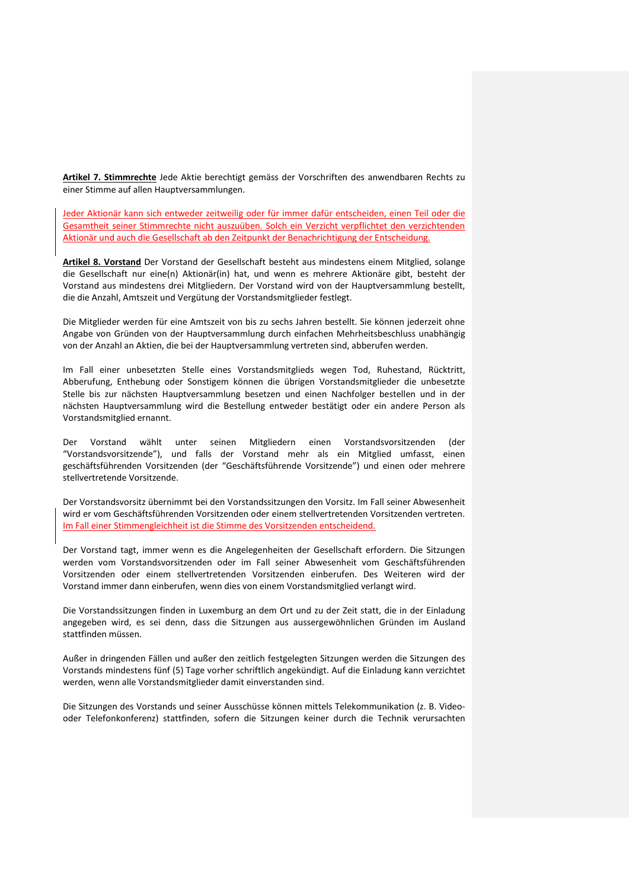**Artikel 7. Stimmrechte** Jede Aktie berechtigt gemäss der Vorschriften des anwendbaren Rechts zu einer Stimme auf allen Hauptversammlungen.

Jeder Aktionär kann sich entweder zeitweilig oder für immer dafür entscheiden, einen Teil oder die Gesamtheit seiner Stimmrechte nicht auszuüben. Solch ein Verzicht verpflichtet den verzichtenden Aktionär und auch die Gesellschaft ab den Zeitpunkt der Benachrichtigung der Entscheidung.

**Artikel 8. Vorstand** Der Vorstand der Gesellschaft besteht aus mindestens einem Mitglied, solange die Gesellschaft nur eine(n) Aktionär(in) hat, und wenn es mehrere Aktionäre gibt, besteht der Vorstand aus mindestens drei Mitgliedern. Der Vorstand wird von der Hauptversammlung bestellt, die die Anzahl, Amtszeit und Vergütung der Vorstandsmitglieder festlegt.

Die Mitglieder werden für eine Amtszeit von bis zu sechs Jahren bestellt. Sie können jederzeit ohne Angabe von Gründen von der Hauptversammlung durch einfachen Mehrheitsbeschluss unabhängig von der Anzahl an Aktien, die bei der Hauptversammlung vertreten sind, abberufen werden.

Im Fall einer unbesetzten Stelle eines Vorstandsmitglieds wegen Tod, Ruhestand, Rücktritt, Abberufung, Enthebung oder Sonstigem können die übrigen Vorstandsmitglieder die unbesetzte Stelle bis zur nächsten Hauptversammlung besetzen und einen Nachfolger bestellen und in der nächsten Hauptversammlung wird die Bestellung entweder bestätigt oder ein andere Person als Vorstandsmitglied ernannt.

Der Vorstand wählt unter seinen Mitgliedern einen Vorstandsvorsitzenden (der "Vorstandsvorsitzende"), und falls der Vorstand mehr als ein Mitglied umfasst, einen geschäftsführenden Vorsitzenden (der "Geschäftsführende Vorsitzende") und einen oder mehrere stellvertretende Vorsitzende.

Der Vorstandsvorsitz übernimmt bei den Vorstandssitzungen den Vorsitz. Im Fall seiner Abwesenheit wird er vom Geschäftsführenden Vorsitzenden oder einem stellvertretenden Vorsitzenden vertreten. Im Fall einer Stimmengleichheit ist die Stimme des Vorsitzenden entscheidend.

Der Vorstand tagt, immer wenn es die Angelegenheiten der Gesellschaft erfordern. Die Sitzungen werden vom Vorstandsvorsitzenden oder im Fall seiner Abwesenheit vom Geschäftsführenden Vorsitzenden oder einem stellvertretenden Vorsitzenden einberufen. Des Weiteren wird der Vorstand immer dann einberufen, wenn dies von einem Vorstandsmitglied verlangt wird.

Die Vorstandssitzungen finden in Luxemburg an dem Ort und zu der Zeit statt, die in der Einladung angegeben wird, es sei denn, dass die Sitzungen aus aussergewöhnlichen Gründen im Ausland stattfinden müssen.

Außer in dringenden Fällen und außer den zeitlich festgelegten Sitzungen werden die Sitzungen des Vorstands mindestens fünf (5) Tage vorher schriftlich angekündigt. Auf die Einladung kann verzichtet werden, wenn alle Vorstandsmitglieder damit einverstanden sind.

Die Sitzungen des Vorstands und seiner Ausschüsse können mittels Telekommunikation (z. B. Videooder Telefonkonferenz) stattfinden, sofern die Sitzungen keiner durch die Technik verursachten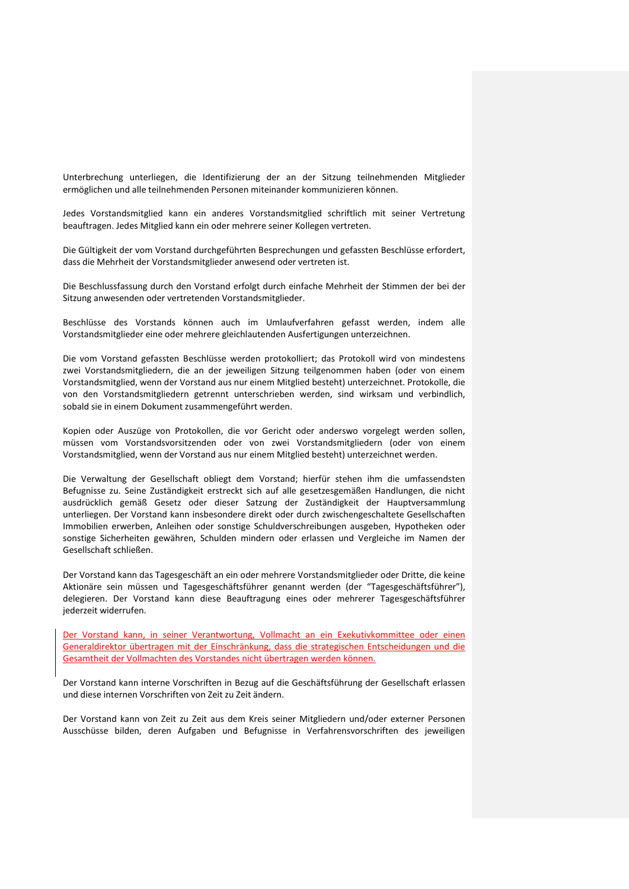Unterbrechung unterliegen, die Identifizierung der an der Sitzung teilnehmenden Mitglieder ermöglichen und alle teilnehmenden Personen miteinander kommunizieren können.

Jedes Vorstandsmitglied kann ein anderes Vorstandsmitglied schriftlich mit seiner Vertretung beauftragen. Jedes Mitglied kann ein oder mehrere seiner Kollegen vertreten.

Die Gültigkeit der vom Vorstand durchgeführten Besprechungen und gefassten Beschlüsse erfordert, dass die Mehrheit der Vorstandsmitglieder anwesend oder vertreten ist.

Die Beschlussfassung durch den Vorstand erfolgt durch einfache Mehrheit der Stimmen der bei der Sitzung anwesenden oder vertretenden Vorstandsmitglieder.

Beschlüsse des Vorstands können auch im Umlaufverfahren gefasst werden, indem alle Vorstandsmitglieder eine oder mehrere gleichlautenden Ausfertigungen unterzeichnen.

Die vom Vorstand gefassten Beschlüsse werden protokolliert; das Protokoll wird von mindestens zwei Vorstandsmitgliedern, die an der jeweiligen Sitzung teilgenommen haben (oder von einem Vorstandsmitglied, wenn der Vorstand aus nur einem Mitglied besteht) unterzeichnet. Protokolle, die von den Vorstandsmitgliedern getrennt unterschrieben werden, sind wirksam und verbindlich, sobald sie in einem Dokument zusammengeführt werden.

Kopien oder Auszüge von Protokollen, die vor Gericht oder anderswo vorgelegt werden sollen, müssen vom Vorstandsvorsitzenden oder von zwei Vorstandsmitgliedern (oder von einem Vorstandsmitglied, wenn der Vorstand aus nur einem Mitglied besteht) unterzeichnet werden.

Die Verwaltung der Gesellschaft obliegt dem Vorstand; hierfür stehen ihm die umfassendsten Befugnisse zu. Seine Zuständigkeit erstreckt sich auf alle gesetzesgemäßen Handlungen, die nicht ausdrücklich gemäß Gesetz oder dieser Satzung der Zuständigkeit der Hauptversammlung unterliegen. Der Vorstand kann insbesondere direkt oder durch zwischengeschaltete Gesellschaften Immobilien erwerben, Anleihen oder sonstige Schuldverschreibungen ausgeben, Hypotheken oder sonstige Sicherheiten gewähren, Schulden mindern oder erlassen und Vergleiche im Namen der Gesellschaft schließen.

Der Vorstand kann das Tagesgeschäft an ein oder mehrere Vorstandsmitglieder oder Dritte, die keine Aktionäre sein müssen und Tagesgeschäftsführer genannt werden (der "Tagesgeschäftsführer"), delegieren. Der Vorstand kann diese Beauftragung eines oder mehrerer Tagesgeschäftsführer jederzeit widerrufen.

Der Vorstand kann, in seiner Verantwortung, Vollmacht an ein Exekutivkommittee oder einen Generaldirektor übertragen mit der Einschränkung, dass die strategischen Entscheidungen und die Gesamtheit der Vollmachten des Vorstandes nicht übertragen werden können.

Der Vorstand kann interne Vorschriften in Bezug auf die Geschäftsführung der Gesellschaft erlassen und diese internen Vorschriften von Zeit zu Zeit ändern.

Der Vorstand kann von Zeit zu Zeit aus dem Kreis seiner Mitgliedern und/oder externer Personen Ausschüsse bilden, deren Aufgaben und Befugnisse in Verfahrensvorschriften des jeweiligen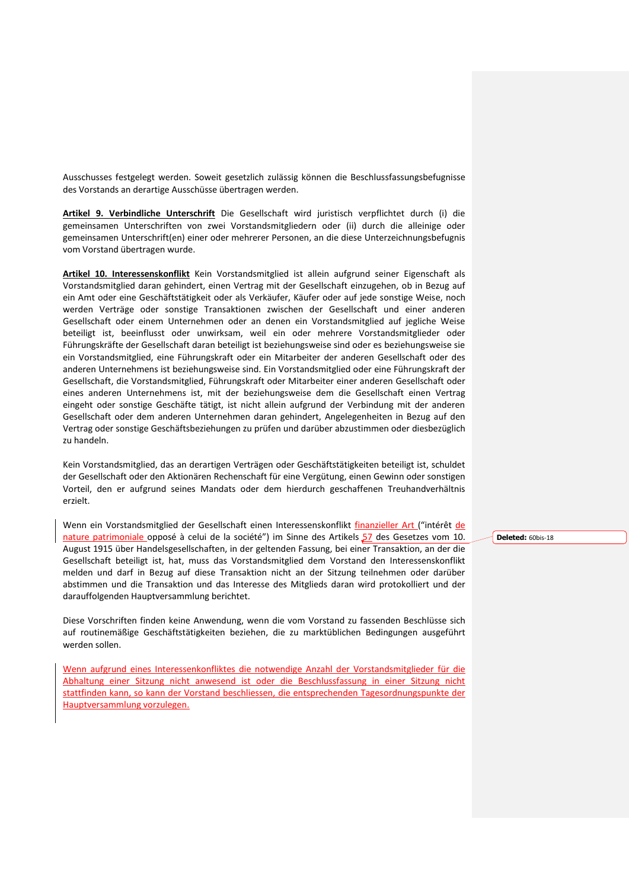Ausschusses festgelegt werden. Soweit gesetzlich zulässig können die Beschlussfassungsbefugnisse des Vorstands an derartige Ausschüsse übertragen werden.

**Artikel 9. Verbindliche Unterschrift** Die Gesellschaft wird juristisch verpflichtet durch (i) die gemeinsamen Unterschriften von zwei Vorstandsmitgliedern oder (ii) durch die alleinige oder gemeinsamen Unterschrift(en) einer oder mehrerer Personen, an die diese Unterzeichnungsbefugnis vom Vorstand übertragen wurde.

**Artikel 10. Interessenskonflikt** Kein Vorstandsmitglied ist allein aufgrund seiner Eigenschaft als Vorstandsmitglied daran gehindert, einen Vertrag mit der Gesellschaft einzugehen, ob in Bezug auf ein Amt oder eine Geschäftstätigkeit oder als Verkäufer, Käufer oder auf jede sonstige Weise, noch werden Verträge oder sonstige Transaktionen zwischen der Gesellschaft und einer anderen Gesellschaft oder einem Unternehmen oder an denen ein Vorstandsmitglied auf jegliche Weise beteiligt ist, beeinflusst oder unwirksam, weil ein oder mehrere Vorstandsmitglieder oder Führungskräfte der Gesellschaft daran beteiligt ist beziehungsweise sind oder es beziehungsweise sie ein Vorstandsmitglied, eine Führungskraft oder ein Mitarbeiter der anderen Gesellschaft oder des anderen Unternehmens ist beziehungsweise sind. Ein Vorstandsmitglied oder eine Führungskraft der Gesellschaft, die Vorstandsmitglied, Führungskraft oder Mitarbeiter einer anderen Gesellschaft oder eines anderen Unternehmens ist, mit der beziehungsweise dem die Gesellschaft einen Vertrag eingeht oder sonstige Geschäfte tätigt, ist nicht allein aufgrund der Verbindung mit der anderen Gesellschaft oder dem anderen Unternehmen daran gehindert, Angelegenheiten in Bezug auf den Vertrag oder sonstige Geschäftsbeziehungen zu prüfen und darüber abzustimmen oder diesbezüglich zu handeln.

Kein Vorstandsmitglied, das an derartigen Verträgen oder Geschäftstätigkeiten beteiligt ist, schuldet der Gesellschaft oder den Aktionären Rechenschaft für eine Vergütung, einen Gewinn oder sonstigen Vorteil, den er aufgrund seines Mandats oder dem hierdurch geschaffenen Treuhandverhältnis erzielt.

Wenn ein Vorstandsmitglied der Gesellschaft einen Interessenskonflikt finanzieller Art ("intérêt de nature patrimoniale opposé à celui de la société") im Sinne des Artikels 57 des Gesetzes vom 10. August 1915 über Handelsgesellschaften, in der geltenden Fassung, bei einer Transaktion, an der die Gesellschaft beteiligt ist, hat, muss das Vorstandsmitglied dem Vorstand den Interessenskonflikt melden und darf in Bezug auf diese Transaktion nicht an der Sitzung teilnehmen oder darüber abstimmen und die Transaktion und das Interesse des Mitglieds daran wird protokolliert und der darauffolgenden Hauptversammlung berichtet.

Diese Vorschriften finden keine Anwendung, wenn die vom Vorstand zu fassenden Beschlüsse sich auf routinemäßige Geschäftstätigkeiten beziehen, die zu marktüblichen Bedingungen ausgeführt werden sollen.

Wenn aufgrund eines Interessenkonfliktes die notwendige Anzahl der Vorstandsmitglieder für die Abhaltung einer Sitzung nicht anwesend ist oder die Beschlussfassung in einer Sitzung nicht stattfinden kann, so kann der Vorstand beschliessen, die entsprechenden Tagesordnungspunkte der Hauptversammlung vorzulegen.

**Deleted:** 60bis-18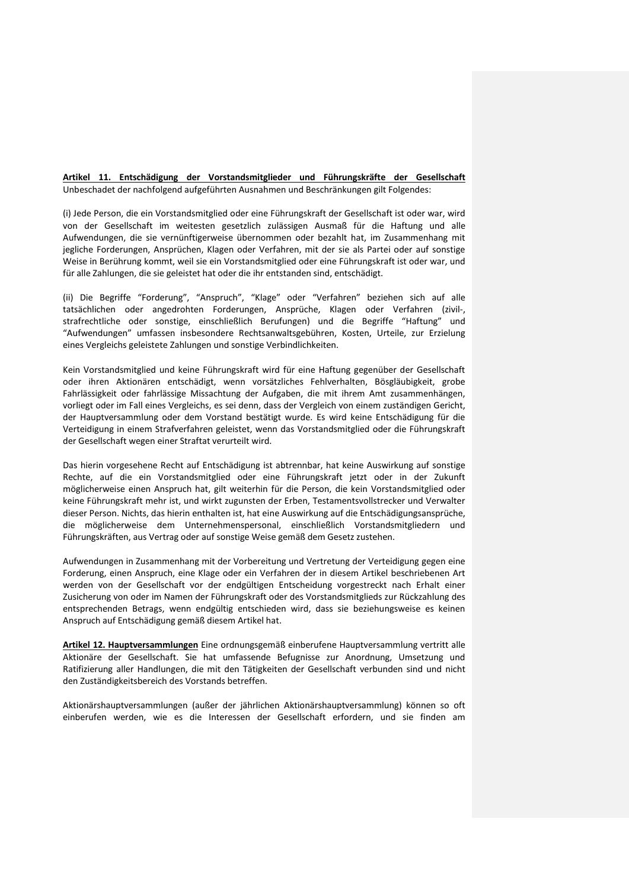**Artikel 11. Entschädigung der Vorstandsmitglieder und Führungskräfte der Gesellschaft** Unbeschadet der nachfolgend aufgeführten Ausnahmen und Beschränkungen gilt Folgendes:

(i) Jede Person, die ein Vorstandsmitglied oder eine Führungskraft der Gesellschaft ist oder war, wird von der Gesellschaft im weitesten gesetzlich zulässigen Ausmaß für die Haftung und alle Aufwendungen, die sie vernünftigerweise übernommen oder bezahlt hat, im Zusammenhang mit jegliche Forderungen, Ansprüchen, Klagen oder Verfahren, mit der sie als Partei oder auf sonstige Weise in Berührung kommt, weil sie ein Vorstandsmitglied oder eine Führungskraft ist oder war, und für alle Zahlungen, die sie geleistet hat oder die ihr entstanden sind, entschädigt.

(ii) Die Begriffe "Forderung", "Anspruch", "Klage" oder "Verfahren" beziehen sich auf alle tatsächlichen oder angedrohten Forderungen, Ansprüche, Klagen oder Verfahren (zivil-, strafrechtliche oder sonstige, einschließlich Berufungen) und die Begriffe "Haftung" und "Aufwendungen" umfassen insbesondere Rechtsanwaltsgebühren, Kosten, Urteile, zur Erzielung eines Vergleichs geleistete Zahlungen und sonstige Verbindlichkeiten.

Kein Vorstandsmitglied und keine Führungskraft wird für eine Haftung gegenüber der Gesellschaft oder ihren Aktionären entschädigt, wenn vorsätzliches Fehlverhalten, Bösgläubigkeit, grobe Fahrlässigkeit oder fahrlässige Missachtung der Aufgaben, die mit ihrem Amt zusammenhängen, vorliegt oder im Fall eines Vergleichs, es sei denn, dass der Vergleich von einem zuständigen Gericht, der Hauptversammlung oder dem Vorstand bestätigt wurde. Es wird keine Entschädigung für die Verteidigung in einem Strafverfahren geleistet, wenn das Vorstandsmitglied oder die Führungskraft der Gesellschaft wegen einer Straftat verurteilt wird.

Das hierin vorgesehene Recht auf Entschädigung ist abtrennbar, hat keine Auswirkung auf sonstige Rechte, auf die ein Vorstandsmitglied oder eine Führungskraft jetzt oder in der Zukunft möglicherweise einen Anspruch hat, gilt weiterhin für die Person, die kein Vorstandsmitglied oder keine Führungskraft mehr ist, und wirkt zugunsten der Erben, Testamentsvollstrecker und Verwalter dieser Person. Nichts, das hierin enthalten ist, hat eine Auswirkung auf die Entschädigungsansprüche, die möglicherweise dem Unternehmenspersonal, einschließlich Vorstandsmitgliedern und Führungskräften, aus Vertrag oder auf sonstige Weise gemäß dem Gesetz zustehen.

Aufwendungen in Zusammenhang mit der Vorbereitung und Vertretung der Verteidigung gegen eine Forderung, einen Anspruch, eine Klage oder ein Verfahren der in diesem Artikel beschriebenen Art werden von der Gesellschaft vor der endgültigen Entscheidung vorgestreckt nach Erhalt einer Zusicherung von oder im Namen der Führungskraft oder des Vorstandsmitglieds zur Rückzahlung des entsprechenden Betrags, wenn endgültig entschieden wird, dass sie beziehungsweise es keinen Anspruch auf Entschädigung gemäß diesem Artikel hat.

**Artikel 12. Hauptversammlungen** Eine ordnungsgemäß einberufene Hauptversammlung vertritt alle Aktionäre der Gesellschaft. Sie hat umfassende Befugnisse zur Anordnung, Umsetzung und Ratifizierung aller Handlungen, die mit den Tätigkeiten der Gesellschaft verbunden sind und nicht den Zuständigkeitsbereich des Vorstands betreffen.

Aktionärshauptversammlungen (außer der jährlichen Aktionärshauptversammlung) können so oft einberufen werden, wie es die Interessen der Gesellschaft erfordern, und sie finden am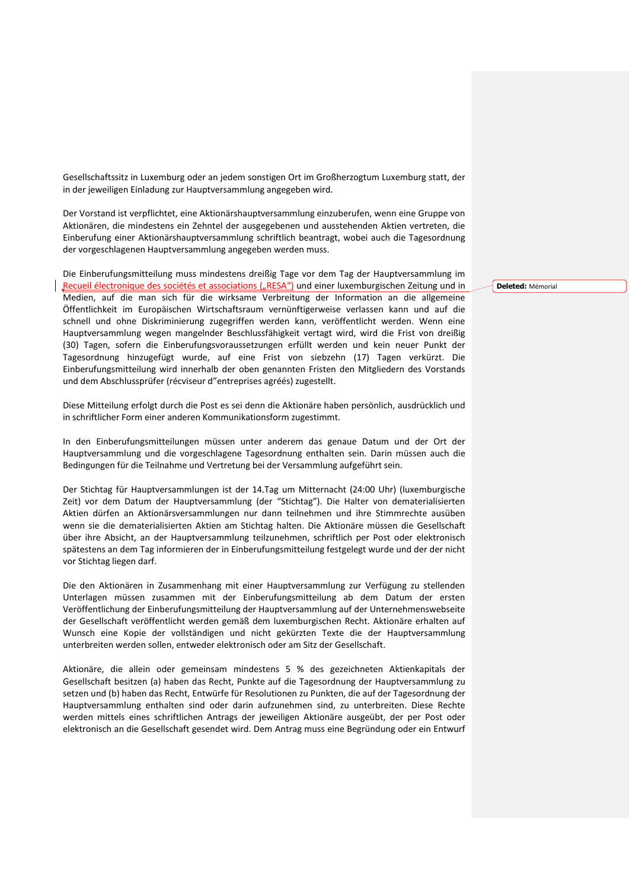Gesellschaftssitz in Luxemburg oder an jedem sonstigen Ort im Großherzogtum Luxemburg statt, der in der jeweiligen Einladung zur Hauptversammlung angegeben wird.

Der Vorstand ist verpflichtet, eine Aktionärshauptversammlung einzuberufen, wenn eine Gruppe von Aktionären, die mindestens ein Zehntel der ausgegebenen und ausstehenden Aktien vertreten, die Einberufung einer Aktionärshauptversammlung schriftlich beantragt, wobei auch die Tagesordnung der vorgeschlagenen Hauptversammlung angegeben werden muss.

Die Einberufungsmitteilung muss mindestens dreißig Tage vor dem Tag der Hauptversammlung im Recueil électronique des sociétés et associations ("RESA") und einer luxemburgischen Zeitung und in Medien, auf die man sich für die wirksame Verbreitung der Information an die allgemeine Öffentlichkeit im Europäischen Wirtschaftsraum vernünftigerweise verlassen kann und auf die schnell und ohne Diskriminierung zugegriffen werden kann, veröffentlicht werden. Wenn eine Hauptversammlung wegen mangelnder Beschlussfähigkeit vertagt wird, wird die Frist von dreißig (30) Tagen, sofern die Einberufungsvoraussetzungen erfüllt werden und kein neuer Punkt der Tagesordnung hinzugefügt wurde, auf eine Frist von siebzehn (17) Tagen verkürzt. Die Einberufungsmitteilung wird innerhalb der oben genannten Fristen den Mitgliedern des Vorstands und dem Abschlussprüfer (récviseur d"entreprises agréés) zugestellt.

Diese Mitteilung erfolgt durch die Post es sei denn die Aktionäre haben persönlich, ausdrücklich und in schriftlicher Form einer anderen Kommunikationsform zugestimmt.

In den Einberufungsmitteilungen müssen unter anderem das genaue Datum und der Ort der Hauptversammlung und die vorgeschlagene Tagesordnung enthalten sein. Darin müssen auch die Bedingungen für die Teilnahme und Vertretung bei der Versammlung aufgeführt sein.

Der Stichtag für Hauptversammlungen ist der 14.Tag um Mitternacht (24:00 Uhr) (luxemburgische Zeit) vor dem Datum der Hauptversammlung (der "Stichtag"). Die Halter von dematerialisierten Aktien dürfen an Aktionärsversammlungen nur dann teilnehmen und ihre Stimmrechte ausüben wenn sie die dematerialisierten Aktien am Stichtag halten. Die Aktionäre müssen die Gesellschaft über ihre Absicht, an der Hauptversammlung teilzunehmen, schriftlich per Post oder elektronisch spätestens an dem Tag informieren der in Einberufungsmitteilung festgelegt wurde und der der nicht vor Stichtag liegen darf.

Die den Aktionären in Zusammenhang mit einer Hauptversammlung zur Verfügung zu stellenden Unterlagen müssen zusammen mit der Einberufungsmitteilung ab dem Datum der ersten Veröffentlichung der Einberufungsmitteilung der Hauptversammlung auf der Unternehmenswebseite der Gesellschaft veröffentlicht werden gemäß dem luxemburgischen Recht. Aktionäre erhalten auf Wunsch eine Kopie der vollständigen und nicht gekürzten Texte die der Hauptversammlung unterbreiten werden sollen, entweder elektronisch oder am Sitz der Gesellschaft.

Aktionäre, die allein oder gemeinsam mindestens 5 % des gezeichneten Aktienkapitals der Gesellschaft besitzen (a) haben das Recht, Punkte auf die Tagesordnung der Hauptversammlung zu setzen und (b) haben das Recht, Entwürfe für Resolutionen zu Punkten, die auf der Tagesordnung der Hauptversammlung enthalten sind oder darin aufzunehmen sind, zu unterbreiten. Diese Rechte werden mittels eines schriftlichen Antrags der jeweiligen Aktionäre ausgeübt, der per Post oder elektronisch an die Gesellschaft gesendet wird. Dem Antrag muss eine Begründung oder ein Entwurf **Deleted:** Mémorial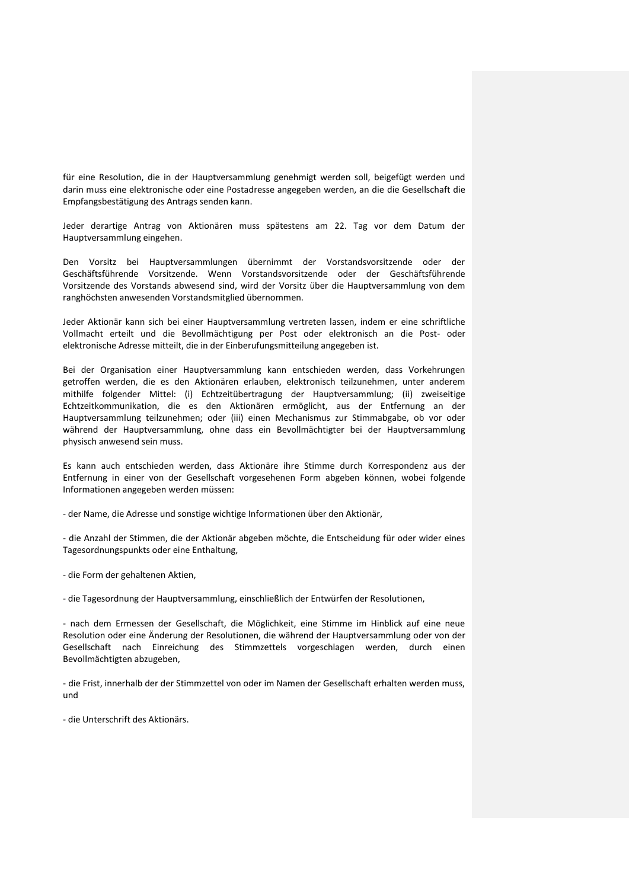für eine Resolution, die in der Hauptversammlung genehmigt werden soll, beigefügt werden und darin muss eine elektronische oder eine Postadresse angegeben werden, an die die Gesellschaft die Empfangsbestätigung des Antrags senden kann.

Jeder derartige Antrag von Aktionären muss spätestens am 22. Tag vor dem Datum der Hauptversammlung eingehen.

Den Vorsitz bei Hauptversammlungen übernimmt der Vorstandsvorsitzende oder der Geschäftsführende Vorsitzende. Wenn Vorstandsvorsitzende oder der Geschäftsführende Vorsitzende des Vorstands abwesend sind, wird der Vorsitz über die Hauptversammlung von dem ranghöchsten anwesenden Vorstandsmitglied übernommen.

Jeder Aktionär kann sich bei einer Hauptversammlung vertreten lassen, indem er eine schriftliche Vollmacht erteilt und die Bevollmächtigung per Post oder elektronisch an die Post- oder elektronische Adresse mitteilt, die in der Einberufungsmitteilung angegeben ist.

Bei der Organisation einer Hauptversammlung kann entschieden werden, dass Vorkehrungen getroffen werden, die es den Aktionären erlauben, elektronisch teilzunehmen, unter anderem mithilfe folgender Mittel: (i) Echtzeitübertragung der Hauptversammlung; (ii) zweiseitige Echtzeitkommunikation, die es den Aktionären ermöglicht, aus der Entfernung an der Hauptversammlung teilzunehmen; oder (iii) einen Mechanismus zur Stimmabgabe, ob vor oder während der Hauptversammlung, ohne dass ein Bevollmächtigter bei der Hauptversammlung physisch anwesend sein muss.

Es kann auch entschieden werden, dass Aktionäre ihre Stimme durch Korrespondenz aus der Entfernung in einer von der Gesellschaft vorgesehenen Form abgeben können, wobei folgende Informationen angegeben werden müssen:

- der Name, die Adresse und sonstige wichtige Informationen über den Aktionär,

- die Anzahl der Stimmen, die der Aktionär abgeben möchte, die Entscheidung für oder wider eines Tagesordnungspunkts oder eine Enthaltung,

- die Form der gehaltenen Aktien,

- die Tagesordnung der Hauptversammlung, einschließlich der Entwürfen der Resolutionen,

- nach dem Ermessen der Gesellschaft, die Möglichkeit, eine Stimme im Hinblick auf eine neue Resolution oder eine Änderung der Resolutionen, die während der Hauptversammlung oder von der Gesellschaft nach Einreichung des Stimmzettels vorgeschlagen werden, durch einen Bevollmächtigten abzugeben,

- die Frist, innerhalb der der Stimmzettel von oder im Namen der Gesellschaft erhalten werden muss, und

- die Unterschrift des Aktionärs.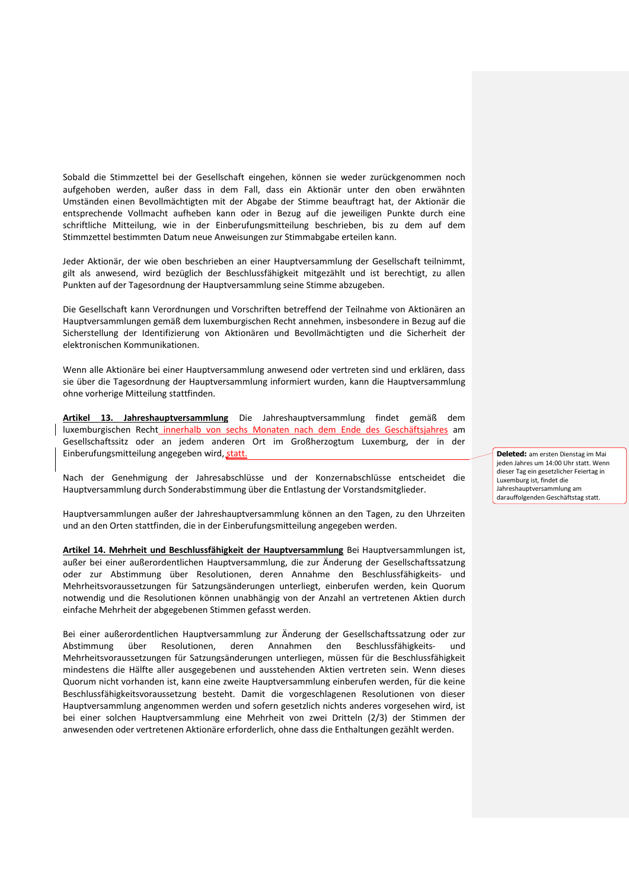Sobald die Stimmzettel bei der Gesellschaft eingehen, können sie weder zurückgenommen noch aufgehoben werden, außer dass in dem Fall, dass ein Aktionär unter den oben erwähnten Umständen einen Bevollmächtigten mit der Abgabe der Stimme beauftragt hat, der Aktionär die entsprechende Vollmacht aufheben kann oder in Bezug auf die jeweiligen Punkte durch eine schriftliche Mitteilung, wie in der Einberufungsmitteilung beschrieben, bis zu dem auf dem Stimmzettel bestimmten Datum neue Anweisungen zur Stimmabgabe erteilen kann.

Jeder Aktionär, der wie oben beschrieben an einer Hauptversammlung der Gesellschaft teilnimmt, gilt als anwesend, wird bezüglich der Beschlussfähigkeit mitgezählt und ist berechtigt, zu allen Punkten auf der Tagesordnung der Hauptversammlung seine Stimme abzugeben.

Die Gesellschaft kann Verordnungen und Vorschriften betreffend der Teilnahme von Aktionären an Hauptversammlungen gemäß dem luxemburgischen Recht annehmen, insbesondere in Bezug auf die Sicherstellung der Identifizierung von Aktionären und Bevollmächtigten und die Sicherheit der elektronischen Kommunikationen.

Wenn alle Aktionäre bei einer Hauptversammlung anwesend oder vertreten sind und erklären, dass sie über die Tagesordnung der Hauptversammlung informiert wurden, kann die Hauptversammlung ohne vorherige Mitteilung stattfinden.

**Artikel 13. Jahreshauptversammlung** Die Jahreshauptversammlung findet gemäß dem luxemburgischen Recht innerhalb von sechs Monaten nach dem Ende des Geschäftsjahres am Gesellschaftssitz oder an jedem anderen Ort im Großherzogtum Luxemburg, der in der Einberufungsmitteilung angegeben wird, statt.

Nach der Genehmigung der Jahresabschlüsse und der Konzernabschlüsse entscheidet die Hauptversammlung durch Sonderabstimmung über die Entlastung der Vorstandsmitglieder.

Hauptversammlungen außer der Jahreshauptversammlung können an den Tagen, zu den Uhrzeiten und an den Orten stattfinden, die in der Einberufungsmitteilung angegeben werden.

**Artikel 14. Mehrheit und Beschlussfähigkeit der Hauptversammlung** Bei Hauptversammlungen ist, außer bei einer außerordentlichen Hauptversammlung, die zur Änderung der Gesellschaftssatzung oder zur Abstimmung über Resolutionen, deren Annahme den Beschlussfähigkeits- und Mehrheitsvoraussetzungen für Satzungsänderungen unterliegt, einberufen werden, kein Quorum notwendig und die Resolutionen können unabhängig von der Anzahl an vertretenen Aktien durch einfache Mehrheit der abgegebenen Stimmen gefasst werden.

Bei einer außerordentlichen Hauptversammlung zur Änderung der Gesellschaftssatzung oder zur Abstimmung über Resolutionen, deren Annahmen den Beschlussfähigkeits- und Mehrheitsvoraussetzungen für Satzungsänderungen unterliegen, müssen für die Beschlussfähigkeit mindestens die Hälfte aller ausgegebenen und ausstehenden Aktien vertreten sein. Wenn dieses Quorum nicht vorhanden ist, kann eine zweite Hauptversammlung einberufen werden, für die keine Beschlussfähigkeitsvoraussetzung besteht. Damit die vorgeschlagenen Resolutionen von dieser Hauptversammlung angenommen werden und sofern gesetzlich nichts anderes vorgesehen wird, ist bei einer solchen Hauptversammlung eine Mehrheit von zwei Dritteln (2/3) der Stimmen der anwesenden oder vertretenen Aktionäre erforderlich, ohne dass die Enthaltungen gezählt werden.

**Deleted:** am ersten Dienstag im Mai jeden Jahres um 14:00 Uhr statt. Wenn dieser Tag ein gesetzlicher Feiertag in Luxemburg ist, findet die Jahreshauptversammlung am darauffolgenden Geschäftstag statt.